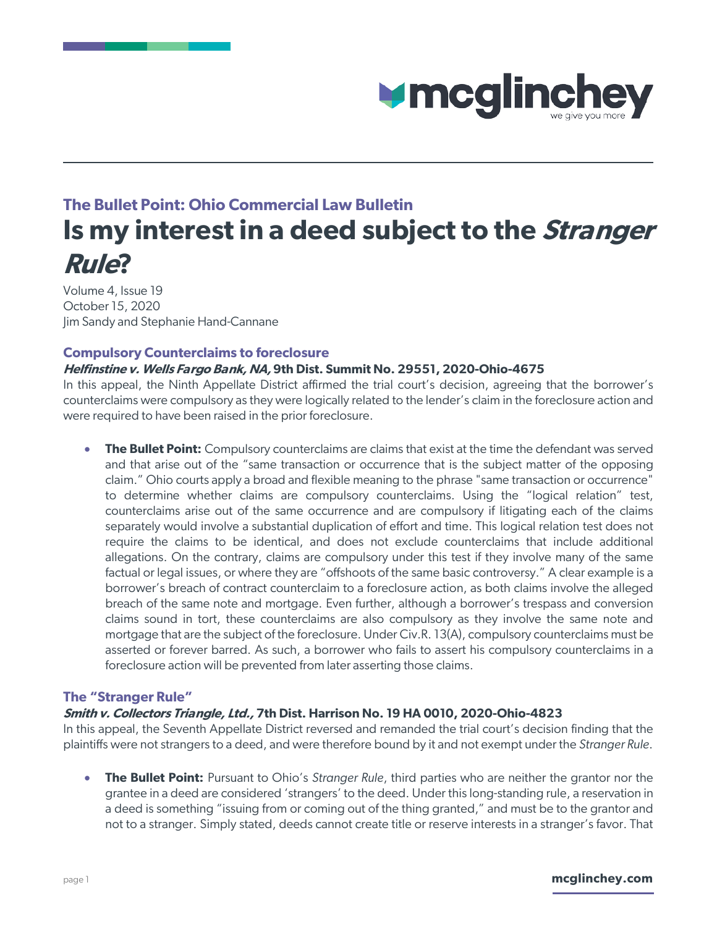

# **The Bullet Point: Ohio Commercial Law Bulletin Is my interest in a deed subject to the Stranger Rule?**

Volume 4, Issue 19 October 15, 2020 Jim Sandy and Stephanie Hand-Cannane

### **Compulsory Counterclaims to foreclosure**

### **Helfinstine v. Wells Fargo Bank, NA, 9th Dist. Summit No. 29551, 2020-Ohio-4675**

In this appeal, the Ninth Appellate District affirmed the trial court's decision, agreeing that the borrower's counterclaims were compulsory as they were logically related to the lender's claim in the foreclosure action and were required to have been raised in the prior foreclosure.

**The Bullet Point:** Compulsory counterclaims are claims that exist at the time the defendant was served and that arise out of the "same transaction or occurrence that is the subject matter of the opposing claim." Ohio courts apply a broad and flexible meaning to the phrase "same transaction or occurrence" to determine whether claims are compulsory counterclaims. Using the "logical relation" test, counterclaims arise out of the same occurrence and are compulsory if litigating each of the claims separately would involve a substantial duplication of effort and time. This logical relation test does not require the claims to be identical, and does not exclude counterclaims that include additional allegations. On the contrary, claims are compulsory under this test if they involve many of the same factual or legal issues, or where they are "offshoots of the same basic controversy." A clear example is a borrower's breach of contract counterclaim to a foreclosure action, as both claims involve the alleged breach of the same note and mortgage. Even further, although a borrower's trespass and conversion claims sound in tort, these counterclaims are also compulsory as they involve the same note and mortgage that are the subject of the foreclosure. Under Civ.R. 13(A), compulsory counterclaims must be asserted or forever barred. As such, a borrower who fails to assert his compulsory counterclaims in a foreclosure action will be prevented from later asserting those claims.

#### **The "Stranger Rule"**

#### **Smith v. Collectors Triangle, Ltd., 7th Dist. Harrison No. 19 HA 0010, 2020-Ohio-4823**

In this appeal, the Seventh Appellate District reversed and remanded the trial court's decision finding that the plaintiffs were not strangers to a deed, and were therefore bound by it and not exempt under the *Stranger Rule*.

• **The Bullet Point:** Pursuant to Ohio's *Stranger Rule*, third parties who are neither the grantor nor the grantee in a deed are considered 'strangers' to the deed. Under this long-standing rule, a reservation in a deed is something "issuing from or coming out of the thing granted," and must be to the grantor and not to a stranger. Simply stated, deeds cannot create title or reserve interests in a stranger's favor. That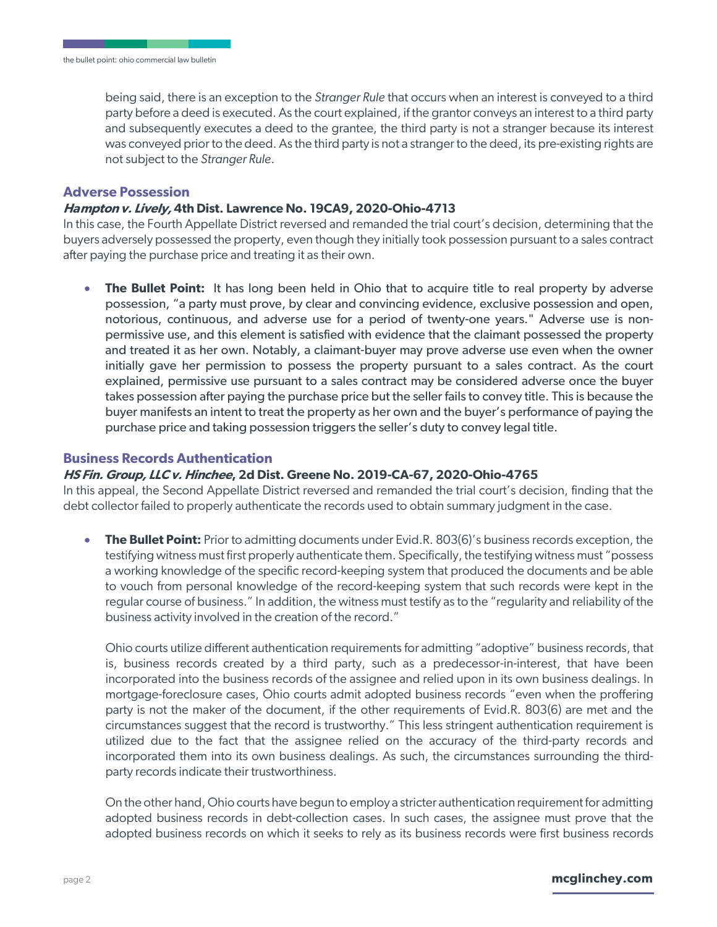being said, there is an exception to the *Stranger Rule* that occurs when an interest is conveyed to a third party before a deed is executed. As the court explained, if the grantor conveys an interest to a third party and subsequently executes a deed to the grantee, the third party is not a stranger because its interest was conveyed prior to the deed. As the third party is not a stranger to the deed, its pre-existing rights are not subject to the *Stranger Rule*.

#### **Adverse Possession**

#### **Hampton v. Lively, 4th Dist. Lawrence No. 19CA9, 2020-Ohio-4713**

In this case, the Fourth Appellate District reversed and remanded the trial court's decision, determining that the buyers adversely possessed the property, even though they initially took possession pursuant to a sales contract after paying the purchase price and treating it as their own.

**The Bullet Point:** It has long been held in Ohio that to acquire title to real property by adverse possession, "a party must prove, by clear and convincing evidence, exclusive possession and open, notorious, continuous, and adverse use for a period of twenty-one years." Adverse use is nonpermissive use, and this element is satisfied with evidence that the claimant possessed the property and treated it as her own. Notably, a claimant-buyer may prove adverse use even when the owner initially gave her permission to possess the property pursuant to a sales contract. As the court explained, permissive use pursuant to a sales contract may be considered adverse once the buyer takes possession after paying the purchase price but the seller fails to convey title. This is because the buyer manifests an intent to treat the property as her own and the buyer's performance of paying the purchase price and taking possession triggers the seller's duty to convey legal title.

#### **Business Records Authentication**

#### **HS Fin. Group, LLC v. Hinchee, 2d Dist. Greene No. 2019-CA-67, 2020-Ohio-4765**

In this appeal, the Second Appellate District reversed and remanded the trial court's decision, finding that the debt collector failed to properly authenticate the records used to obtain summary judgment in the case.

**The Bullet Point:** Prior to admitting documents under Evid.R. 803(6)'s business records exception, the testifying witness must first properly authenticate them. Specifically, the testifying witness must "possess a working knowledge of the specific record-keeping system that produced the documents and be able to vouch from personal knowledge of the record-keeping system that such records were kept in the regular course of business." In addition, the witness must testify as to the "regularity and reliability of the business activity involved in the creation of the record."

Ohio courts utilize different authentication requirements for admitting "adoptive" business records, that is, business records created by a third party, such as a predecessor-in-interest, that have been incorporated into the business records of the assignee and relied upon in its own business dealings. In mortgage-foreclosure cases, Ohio courts admit adopted business records "even when the proffering party is not the maker of the document, if the other requirements of Evid.R. 803(6) are met and the circumstances suggest that the record is trustworthy." This less stringent authentication requirement is utilized due to the fact that the assignee relied on the accuracy of the third-party records and incorporated them into its own business dealings. As such, the circumstances surrounding the thirdparty records indicate their trustworthiness.

On the other hand, Ohio courts have begun to employ a stricter authentication requirement for admitting adopted business records in debt-collection cases. In such cases, the assignee must prove that the adopted business records on which it seeks to rely as its business records were first business records

#### page 2 **mcglinchey.com**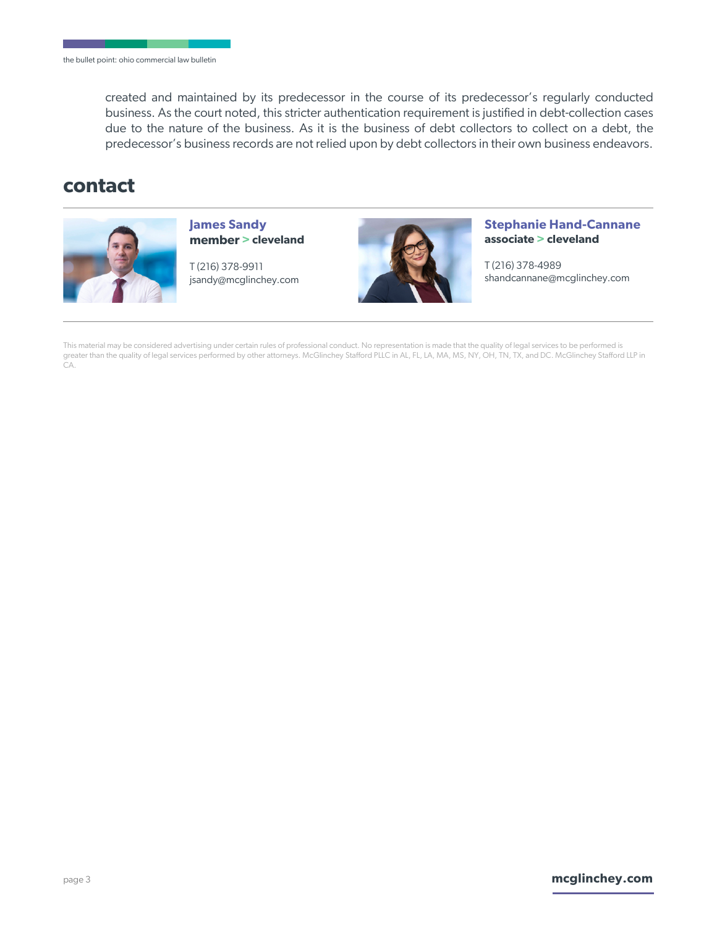created and maintained by its predecessor in the course of its predecessor's regularly conducted business. As the court noted, this stricter authentication requirement is justified in debt-collection cases due to the nature of the business. As it is the business of debt collectors to collect on a debt, the predecessor's business records are not relied upon by debt collectors in their own business endeavors.

# **contact**



**James Sandy member > cleveland** 

T (216) 378-9911 jsandy@mcglinchey.com



**Stephanie Hand-Cannane associate > cleveland** 

T (216) 378-4989 shandcannane@mcglinchey.com

This material may be considered advertising under certain rules of professional conduct. No representation is made that the quality of legal services to be performed is greater than the quality of legal services performed by other attorneys. McGlinchey Stafford PLLC in AL, FL, LA, MA, MS, NY, OH, TN, TX, and DC. McGlinchey Stafford LLP in CA.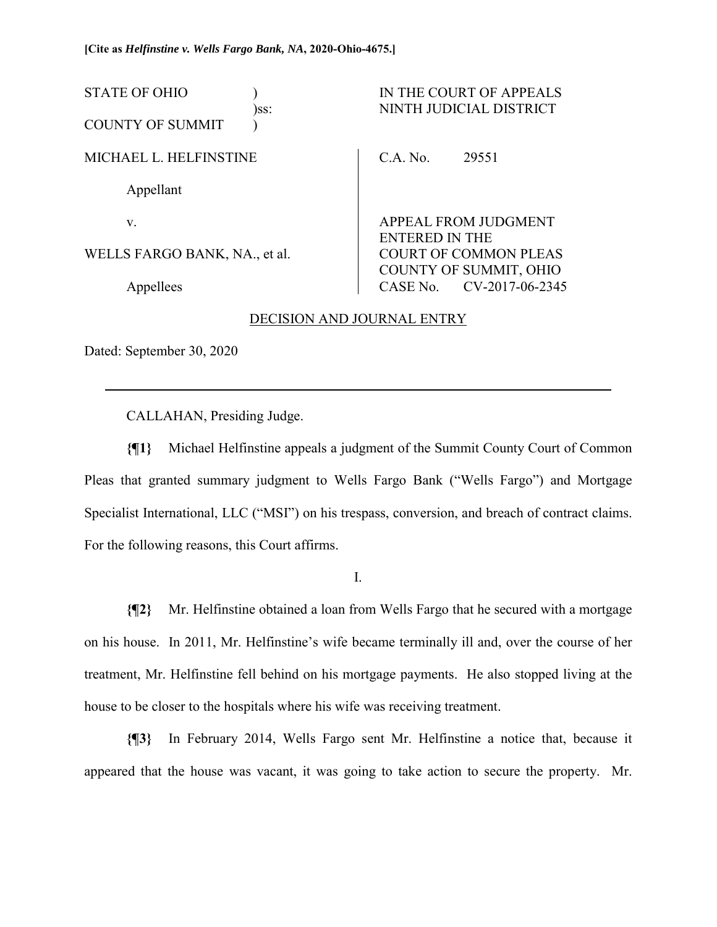| <b>STATE OF OHIO</b>          | )ss: |                       | IN THE COURT OF APPEALS<br>NINTH JUDICIAL DISTRICT     |
|-------------------------------|------|-----------------------|--------------------------------------------------------|
| <b>COUNTY OF SUMMIT</b>       |      |                       |                                                        |
| MICHAEL L. HELFINSTINE        |      | C.A. No.              | 29551                                                  |
| Appellant                     |      |                       |                                                        |
| V.                            |      | APPEAL FROM JUDGMENT  |                                                        |
| WELLS FARGO BANK, NA., et al. |      | <b>ENTERED IN THE</b> | <b>COURT OF COMMON PLEAS</b><br>COUNTY OF SUMMIT, OHIO |
| Appellees                     |      |                       | CASE No. CV-2017-06-2345                               |

#### DECISION AND JOURNAL ENTRY

Dated: September 30, 2020

 $\overline{a}$ 

CALLAHAN, Presiding Judge.

**{¶1}** Michael Helfinstine appeals a judgment of the Summit County Court of Common Pleas that granted summary judgment to Wells Fargo Bank ("Wells Fargo") and Mortgage Specialist International, LLC ("MSI") on his trespass, conversion, and breach of contract claims. For the following reasons, this Court affirms.

I.

**{¶2}** Mr. Helfinstine obtained a loan from Wells Fargo that he secured with a mortgage on his house. In 2011, Mr. Helfinstine's wife became terminally ill and, over the course of her treatment, Mr. Helfinstine fell behind on his mortgage payments. He also stopped living at the house to be closer to the hospitals where his wife was receiving treatment.

**{¶3}** In February 2014, Wells Fargo sent Mr. Helfinstine a notice that, because it appeared that the house was vacant, it was going to take action to secure the property. Mr.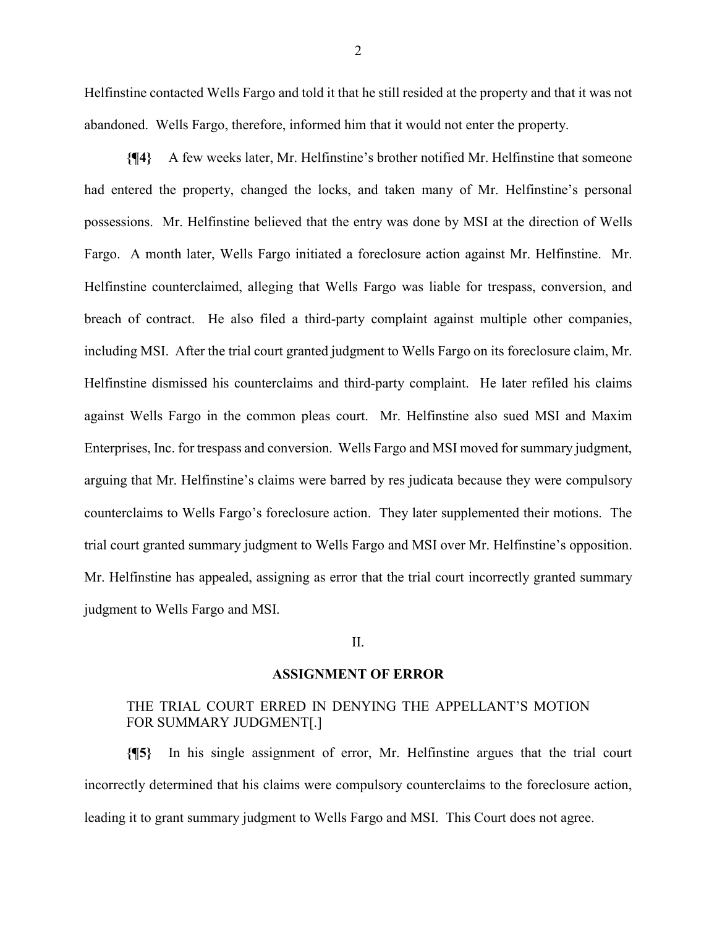Helfinstine contacted Wells Fargo and told it that he still resided at the property and that it was not abandoned. Wells Fargo, therefore, informed him that it would not enter the property.

**{¶4}** A few weeks later, Mr. Helfinstine's brother notified Mr. Helfinstine that someone had entered the property, changed the locks, and taken many of Mr. Helfinstine's personal possessions. Mr. Helfinstine believed that the entry was done by MSI at the direction of Wells Fargo. A month later, Wells Fargo initiated a foreclosure action against Mr. Helfinstine. Mr. Helfinstine counterclaimed, alleging that Wells Fargo was liable for trespass, conversion, and breach of contract. He also filed a third-party complaint against multiple other companies, including MSI. After the trial court granted judgment to Wells Fargo on its foreclosure claim, Mr. Helfinstine dismissed his counterclaims and third-party complaint. He later refiled his claims against Wells Fargo in the common pleas court. Mr. Helfinstine also sued MSI and Maxim Enterprises, Inc. for trespass and conversion. Wells Fargo and MSI moved for summary judgment, arguing that Mr. Helfinstine's claims were barred by res judicata because they were compulsory counterclaims to Wells Fargo's foreclosure action. They later supplemented their motions. The trial court granted summary judgment to Wells Fargo and MSI over Mr. Helfinstine's opposition. Mr. Helfinstine has appealed, assigning as error that the trial court incorrectly granted summary judgment to Wells Fargo and MSI.

#### II.

#### **ASSIGNMENT OF ERROR**

#### THE TRIAL COURT ERRED IN DENYING THE APPELLANT'S MOTION FOR SUMMARY JUDGMENT[.]

**{¶5}** In his single assignment of error, Mr. Helfinstine argues that the trial court incorrectly determined that his claims were compulsory counterclaims to the foreclosure action, leading it to grant summary judgment to Wells Fargo and MSI. This Court does not agree.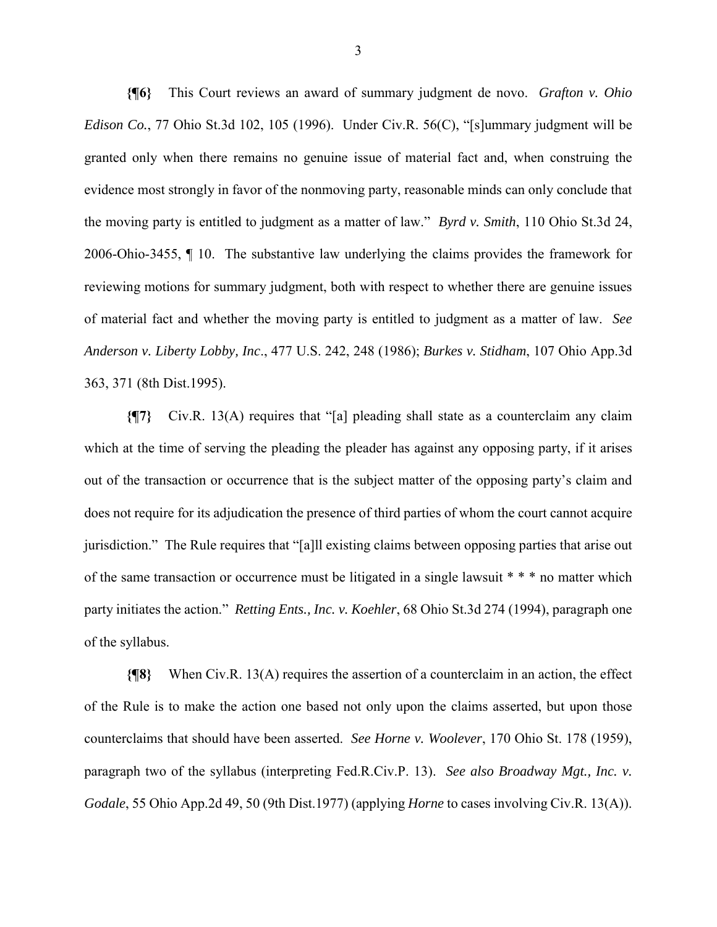**{¶6}** This Court reviews an award of summary judgment de novo. *Grafton v. Ohio Edison Co.*, 77 Ohio St.3d 102, 105 (1996). Under Civ.R. 56(C), "[s]ummary judgment will be granted only when there remains no genuine issue of material fact and, when construing the evidence most strongly in favor of the nonmoving party, reasonable minds can only conclude that the moving party is entitled to judgment as a matter of law." *Byrd v. Smith*, 110 Ohio St.3d 24, 2006-Ohio-3455, ¶ 10. The substantive law underlying the claims provides the framework for reviewing motions for summary judgment, both with respect to whether there are genuine issues of material fact and whether the moving party is entitled to judgment as a matter of law. *See Anderson v. Liberty Lobby, Inc*., 477 U.S. 242, 248 (1986); *Burkes v. Stidham*, 107 Ohio App.3d 363, 371 (8th Dist.1995).

**{¶7}** Civ.R. 13(A) requires that "[a] pleading shall state as a counterclaim any claim which at the time of serving the pleading the pleader has against any opposing party, if it arises out of the transaction or occurrence that is the subject matter of the opposing party's claim and does not require for its adjudication the presence of third parties of whom the court cannot acquire jurisdiction." The Rule requires that "[a]ll existing claims between opposing parties that arise out of the same transaction or occurrence must be litigated in a single lawsuit \* \* \* no matter which party initiates the action." *Retting Ents., Inc. v. Koehler*, 68 Ohio St.3d 274 (1994), paragraph one of the syllabus.

**{¶8}** When Civ.R. 13(A) requires the assertion of a counterclaim in an action, the effect of the Rule is to make the action one based not only upon the claims asserted, but upon those counterclaims that should have been asserted. *See Horne v. Woolever*, 170 Ohio St. 178 (1959), paragraph two of the syllabus (interpreting Fed.R.Civ.P. 13). *See also Broadway Mgt., Inc. v. Godale*, 55 Ohio App.2d 49, 50 (9th Dist.1977) (applying *Horne* to cases involving Civ.R. 13(A)).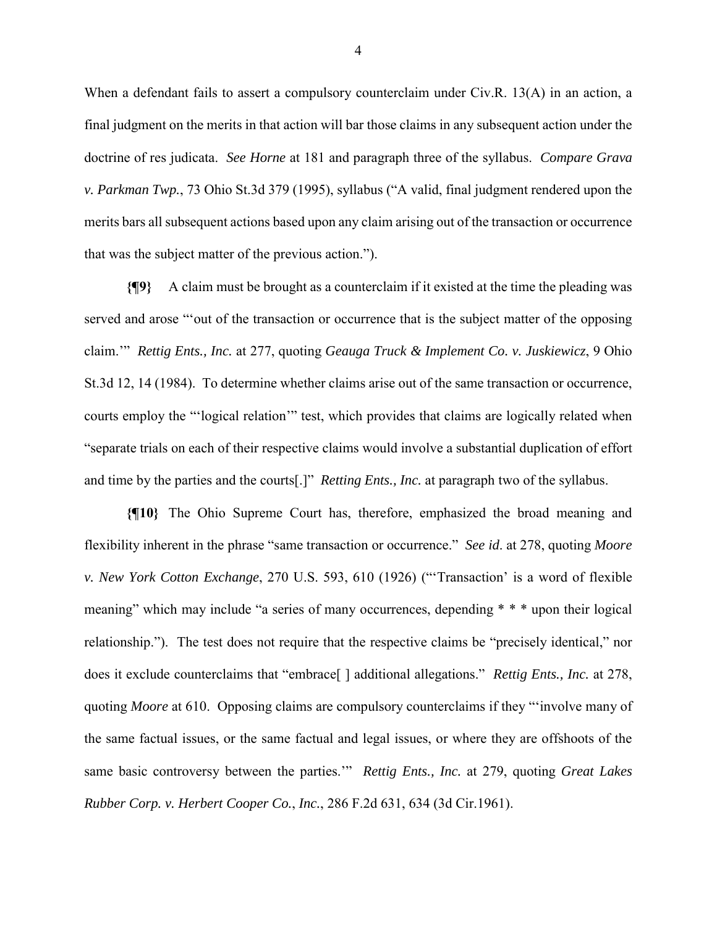When a defendant fails to assert a compulsory counterclaim under Civ.R. 13(A) in an action, a final judgment on the merits in that action will bar those claims in any subsequent action under the doctrine of res judicata. *See Horne* at 181 and paragraph three of the syllabus. *Compare Grava v. Parkman Twp.*, 73 Ohio St.3d 379 (1995), syllabus ("A valid, final judgment rendered upon the merits bars all subsequent actions based upon any claim arising out of the transaction or occurrence that was the subject matter of the previous action.").

**{¶9}** A claim must be brought as a counterclaim if it existed at the time the pleading was served and arose "'out of the transaction or occurrence that is the subject matter of the opposing claim.'" *Rettig Ents., Inc.* at 277, quoting *Geauga Truck & Implement Co. v. Juskiewicz*, 9 Ohio St.3d 12, 14 (1984). To determine whether claims arise out of the same transaction or occurrence, courts employ the "'logical relation'" test, which provides that claims are logically related when "separate trials on each of their respective claims would involve a substantial duplication of effort and time by the parties and the courts[.]" *Retting Ents., Inc.* at paragraph two of the syllabus.

**{¶10}** The Ohio Supreme Court has, therefore, emphasized the broad meaning and flexibility inherent in the phrase "same transaction or occurrence." *See id*. at 278, quoting *Moore v. New York Cotton Exchange*, 270 U.S. 593, 610 (1926) ("'Transaction' is a word of flexible meaning" which may include "a series of many occurrences, depending \* \* \* upon their logical relationship."). The test does not require that the respective claims be "precisely identical," nor does it exclude counterclaims that "embrace[ ] additional allegations." *Rettig Ents., Inc.* at 278, quoting *Moore* at 610. Opposing claims are compulsory counterclaims if they "'involve many of the same factual issues, or the same factual and legal issues, or where they are offshoots of the same basic controversy between the parties.'" *Rettig Ents., Inc.* at 279, quoting *Great Lakes Rubber Corp. v. Herbert Cooper Co.*, *Inc.*, 286 F.2d 631, 634 (3d Cir.1961).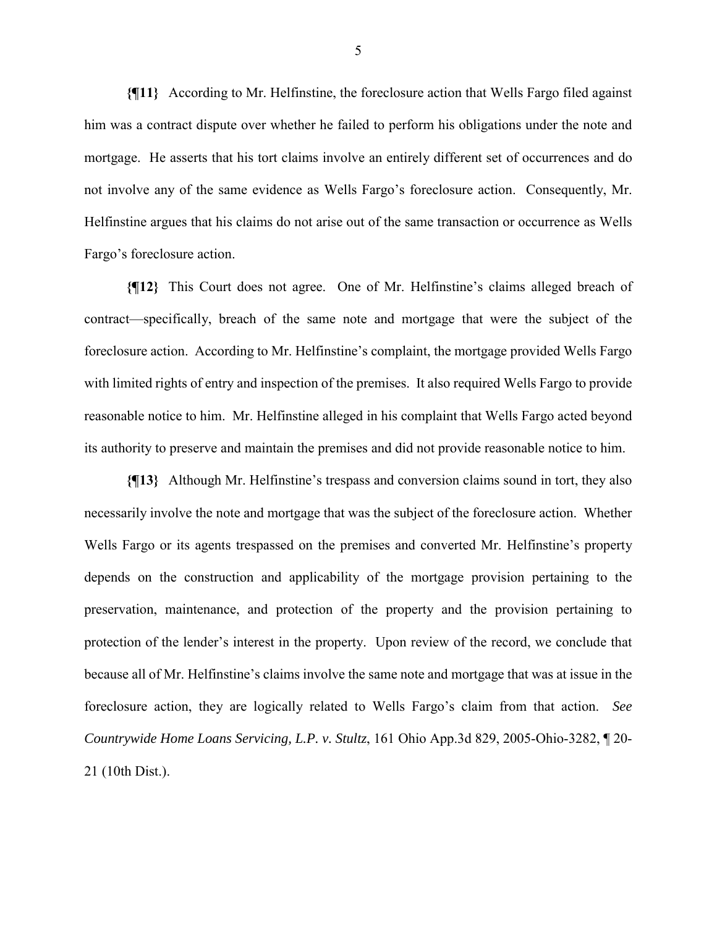**{¶11}** According to Mr. Helfinstine, the foreclosure action that Wells Fargo filed against him was a contract dispute over whether he failed to perform his obligations under the note and mortgage. He asserts that his tort claims involve an entirely different set of occurrences and do not involve any of the same evidence as Wells Fargo's foreclosure action. Consequently, Mr. Helfinstine argues that his claims do not arise out of the same transaction or occurrence as Wells Fargo's foreclosure action.

**{¶12}** This Court does not agree. One of Mr. Helfinstine's claims alleged breach of contract—specifically, breach of the same note and mortgage that were the subject of the foreclosure action. According to Mr. Helfinstine's complaint, the mortgage provided Wells Fargo with limited rights of entry and inspection of the premises. It also required Wells Fargo to provide reasonable notice to him. Mr. Helfinstine alleged in his complaint that Wells Fargo acted beyond its authority to preserve and maintain the premises and did not provide reasonable notice to him.

**{¶13}** Although Mr. Helfinstine's trespass and conversion claims sound in tort, they also necessarily involve the note and mortgage that was the subject of the foreclosure action. Whether Wells Fargo or its agents trespassed on the premises and converted Mr. Helfinstine's property depends on the construction and applicability of the mortgage provision pertaining to the preservation, maintenance, and protection of the property and the provision pertaining to protection of the lender's interest in the property. Upon review of the record, we conclude that because all of Mr. Helfinstine's claims involve the same note and mortgage that was at issue in the foreclosure action, they are logically related to Wells Fargo's claim from that action. *See Countrywide Home Loans Servicing, L.P. v. Stultz*, 161 Ohio App.3d 829, 2005-Ohio-3282, ¶ 20- 21 (10th Dist.).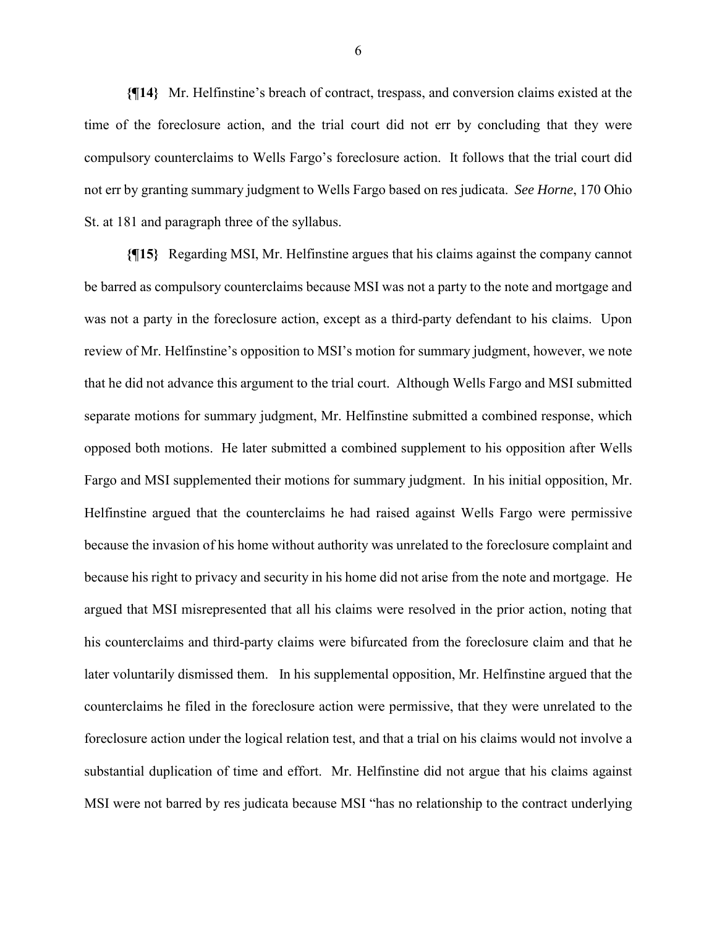**{¶14}** Mr. Helfinstine's breach of contract, trespass, and conversion claims existed at the time of the foreclosure action, and the trial court did not err by concluding that they were compulsory counterclaims to Wells Fargo's foreclosure action. It follows that the trial court did not err by granting summary judgment to Wells Fargo based on res judicata. *See Horne*, 170 Ohio St. at 181 and paragraph three of the syllabus.

**{¶15}** Regarding MSI, Mr. Helfinstine argues that his claims against the company cannot be barred as compulsory counterclaims because MSI was not a party to the note and mortgage and was not a party in the foreclosure action, except as a third-party defendant to his claims. Upon review of Mr. Helfinstine's opposition to MSI's motion for summary judgment, however, we note that he did not advance this argument to the trial court. Although Wells Fargo and MSI submitted separate motions for summary judgment, Mr. Helfinstine submitted a combined response, which opposed both motions. He later submitted a combined supplement to his opposition after Wells Fargo and MSI supplemented their motions for summary judgment. In his initial opposition, Mr. Helfinstine argued that the counterclaims he had raised against Wells Fargo were permissive because the invasion of his home without authority was unrelated to the foreclosure complaint and because his right to privacy and security in his home did not arise from the note and mortgage. He argued that MSI misrepresented that all his claims were resolved in the prior action, noting that his counterclaims and third-party claims were bifurcated from the foreclosure claim and that he later voluntarily dismissed them. In his supplemental opposition, Mr. Helfinstine argued that the counterclaims he filed in the foreclosure action were permissive, that they were unrelated to the foreclosure action under the logical relation test, and that a trial on his claims would not involve a substantial duplication of time and effort. Mr. Helfinstine did not argue that his claims against MSI were not barred by res judicata because MSI "has no relationship to the contract underlying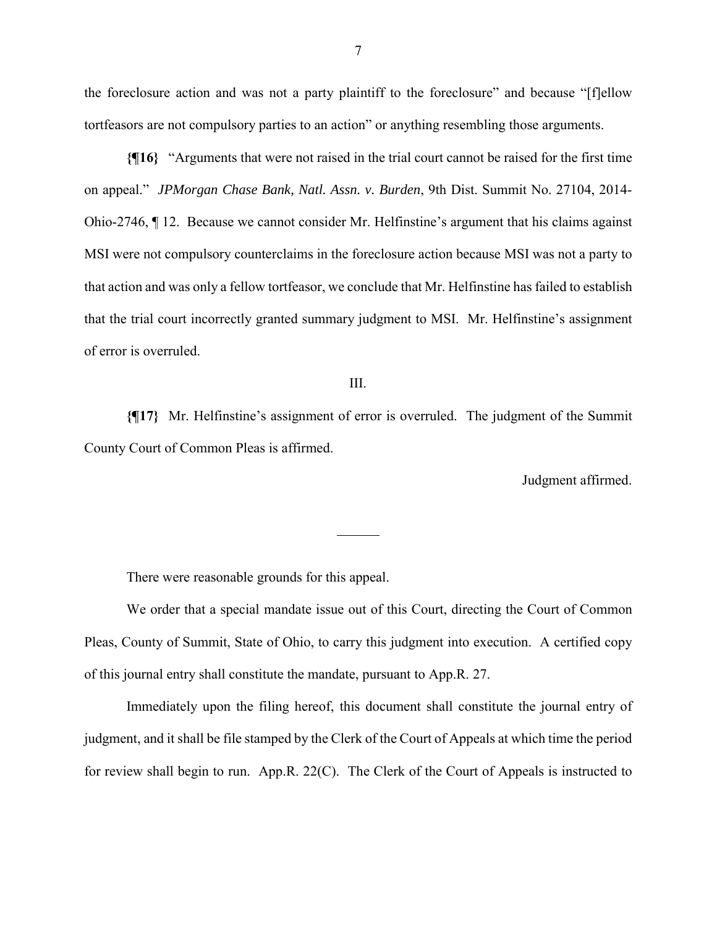the foreclosure action and was not a party plaintiff to the foreclosure" and because "[f]ellow tortfeasors are not compulsory parties to an action" or anything resembling those arguments.

**{¶16}** "Arguments that were not raised in the trial court cannot be raised for the first time on appeal." *JPMorgan Chase Bank, Natl. Assn. v. Burden*, 9th Dist. Summit No. 27104, 2014- Ohio-2746, ¶ 12. Because we cannot consider Mr. Helfinstine's argument that his claims against MSI were not compulsory counterclaims in the foreclosure action because MSI was not a party to that action and was only a fellow tortfeasor, we conclude that Mr. Helfinstine has failed to establish that the trial court incorrectly granted summary judgment to MSI. Mr. Helfinstine's assignment of error is overruled.

III.

**{¶17}** Mr. Helfinstine's assignment of error is overruled. The judgment of the Summit County Court of Common Pleas is affirmed.

 $\overline{a}$ 

Judgment affirmed.

There were reasonable grounds for this appeal.

 We order that a special mandate issue out of this Court, directing the Court of Common Pleas, County of Summit, State of Ohio, to carry this judgment into execution. A certified copy of this journal entry shall constitute the mandate, pursuant to App.R. 27.

 Immediately upon the filing hereof, this document shall constitute the journal entry of judgment, and it shall be file stamped by the Clerk of the Court of Appeals at which time the period for review shall begin to run. App.R. 22(C). The Clerk of the Court of Appeals is instructed to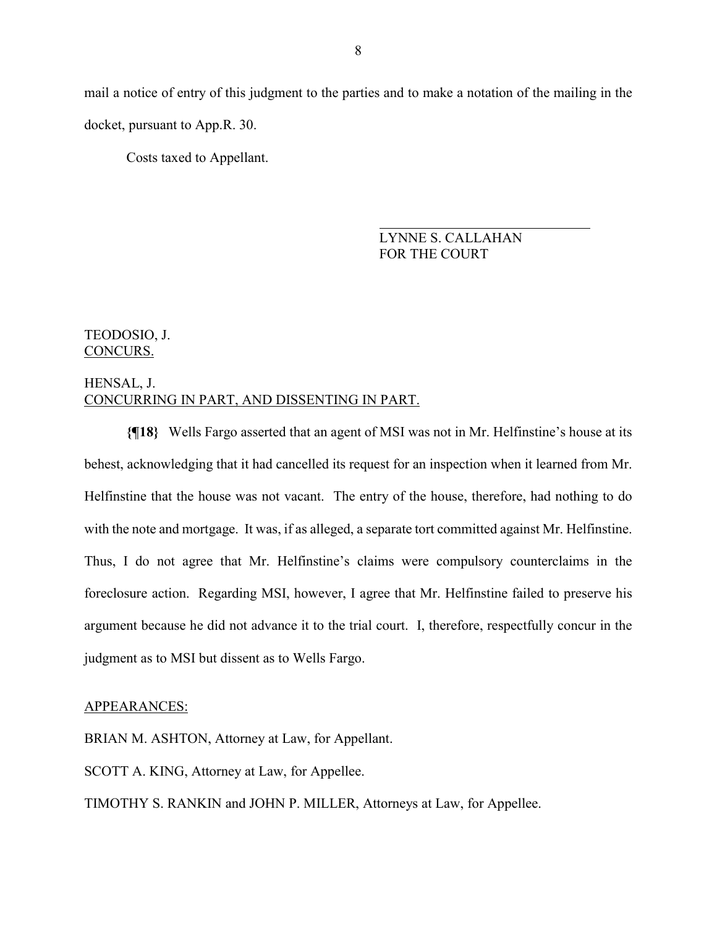mail a notice of entry of this judgment to the parties and to make a notation of the mailing in the docket, pursuant to App.R. 30.

Costs taxed to Appellant.

 LYNNE S. CALLAHAN FOR THE COURT

#### TEODOSIO, J. CONCURS.

### HENSAL, J. CONCURRING IN PART, AND DISSENTING IN PART.

**{¶18}** Wells Fargo asserted that an agent of MSI was not in Mr. Helfinstine's house at its behest, acknowledging that it had cancelled its request for an inspection when it learned from Mr. Helfinstine that the house was not vacant. The entry of the house, therefore, had nothing to do with the note and mortgage. It was, if as alleged, a separate tort committed against Mr. Helfinstine. Thus, I do not agree that Mr. Helfinstine's claims were compulsory counterclaims in the foreclosure action. Regarding MSI, however, I agree that Mr. Helfinstine failed to preserve his argument because he did not advance it to the trial court. I, therefore, respectfully concur in the judgment as to MSI but dissent as to Wells Fargo.

#### APPEARANCES:

BRIAN M. ASHTON, Attorney at Law, for Appellant.

SCOTT A. KING, Attorney at Law, for Appellee.

TIMOTHY S. RANKIN and JOHN P. MILLER, Attorneys at Law, for Appellee.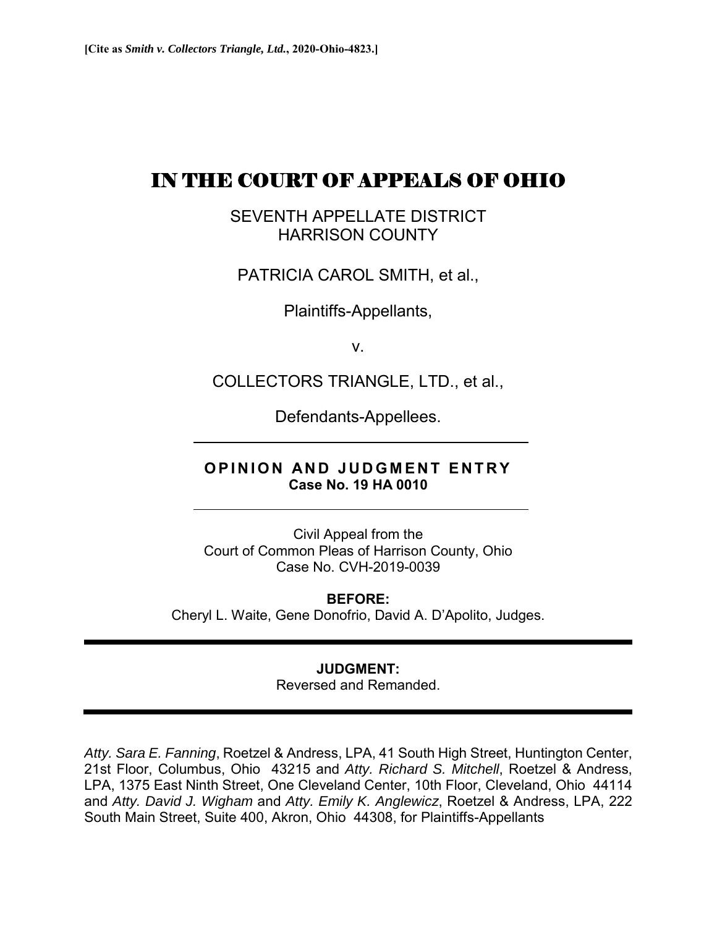# IN THE COURT OF APPEALS OF OHIO

SEVENTH APPELLATE DISTRICT HARRISON COUNTY

PATRICIA CAROL SMITH, et al.,

Plaintiffs-Appellants,

v.

COLLECTORS TRIANGLE, LTD., et al.,

Defendants-Appellees.

# **OPINION AND JUDGMENT ENTRY Case No. 19 HA 0010**

Civil Appeal from the Court of Common Pleas of Harrison County, Ohio Case No. CVH-2019-0039

**BEFORE:**  Cheryl L. Waite, Gene Donofrio, David A. D'Apolito, Judges.

# **JUDGMENT:**

Reversed and Remanded.

*Atty. Sara E. Fanning*, Roetzel & Andress, LPA, 41 South High Street, Huntington Center, 21st Floor, Columbus, Ohio 43215 and *Atty. Richard S. Mitchell*, Roetzel & Andress, LPA, 1375 East Ninth Street, One Cleveland Center, 10th Floor, Cleveland, Ohio 44114 and *Atty. David J. Wigham* and *Atty. Emily K. Anglewicz*, Roetzel & Andress, LPA, 222 South Main Street, Suite 400, Akron, Ohio 44308, for Plaintiffs-Appellants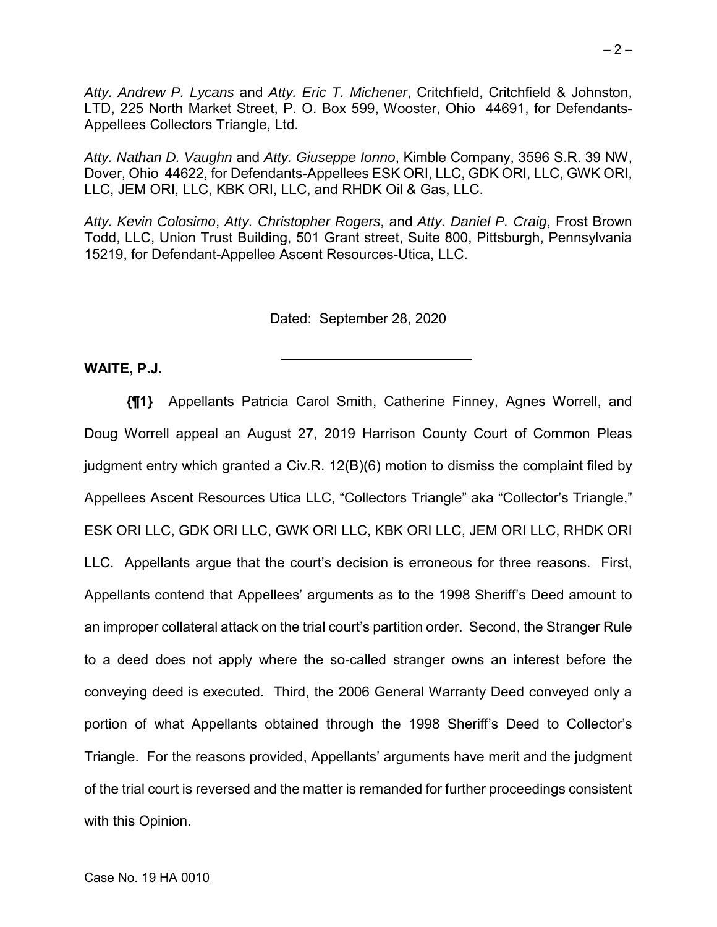*Atty. Andrew P. Lycans* and *Atty. Eric T. Michener*, Critchfield, Critchfield & Johnston, LTD, 225 North Market Street, P. O. Box 599, Wooster, Ohio 44691, for Defendants-Appellees Collectors Triangle, Ltd.

*Atty. Nathan D. Vaughn* and *Atty. Giuseppe Ionno*, Kimble Company, 3596 S.R. 39 NW, Dover, Ohio 44622, for Defendants-Appellees ESK ORI, LLC, GDK ORI, LLC, GWK ORI, LLC, JEM ORI, LLC, KBK ORI, LLC, and RHDK Oil & Gas, LLC.

*Atty. Kevin Colosimo*, *Atty. Christopher Rogers*, and *Atty. Daniel P. Craig*, Frost Brown Todd, LLC, Union Trust Building, 501 Grant street, Suite 800, Pittsburgh, Pennsylvania 15219, for Defendant-Appellee Ascent Resources-Utica, LLC.

Dated: September 28, 2020

**WAITE, P.J.** 

**{¶1}** Appellants Patricia Carol Smith, Catherine Finney, Agnes Worrell, and Doug Worrell appeal an August 27, 2019 Harrison County Court of Common Pleas judgment entry which granted a Civ.R. 12(B)(6) motion to dismiss the complaint filed by Appellees Ascent Resources Utica LLC, "Collectors Triangle" aka "Collector's Triangle," ESK ORI LLC, GDK ORI LLC, GWK ORI LLC, KBK ORI LLC, JEM ORI LLC, RHDK ORI LLC. Appellants argue that the court's decision is erroneous for three reasons. First, Appellants contend that Appellees' arguments as to the 1998 Sheriff's Deed amount to an improper collateral attack on the trial court's partition order. Second, the Stranger Rule to a deed does not apply where the so-called stranger owns an interest before the conveying deed is executed. Third, the 2006 General Warranty Deed conveyed only a portion of what Appellants obtained through the 1998 Sheriff's Deed to Collector's Triangle. For the reasons provided, Appellants' arguments have merit and the judgment of the trial court is reversed and the matter is remanded for further proceedings consistent with this Opinion.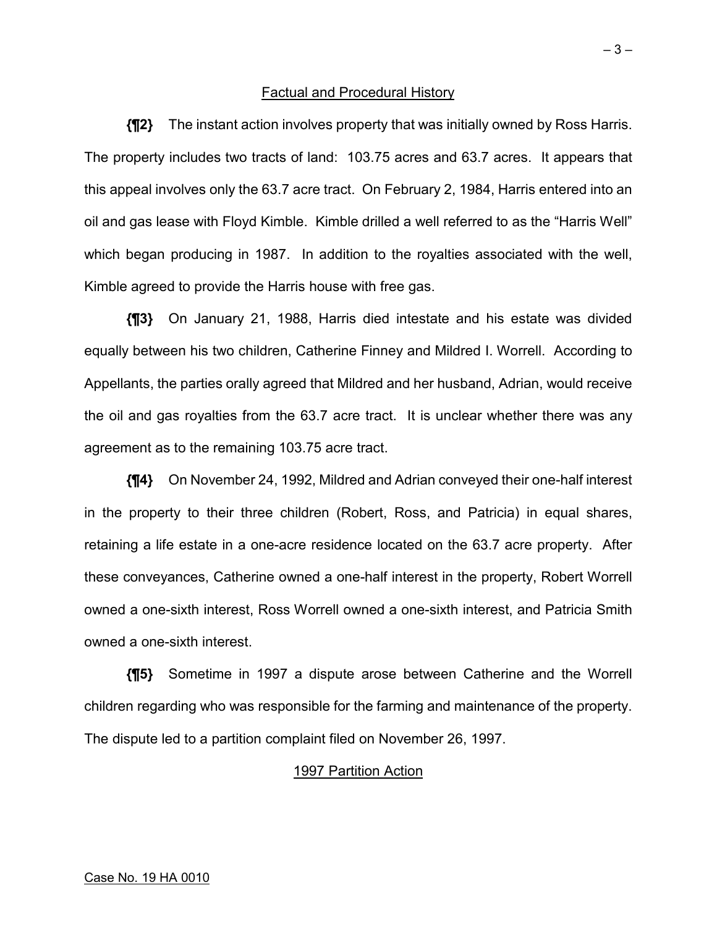#### Factual and Procedural History

**{¶2}** The instant action involves property that was initially owned by Ross Harris. The property includes two tracts of land: 103.75 acres and 63.7 acres. It appears that this appeal involves only the 63.7 acre tract. On February 2, 1984, Harris entered into an oil and gas lease with Floyd Kimble. Kimble drilled a well referred to as the "Harris Well" which began producing in 1987. In addition to the royalties associated with the well, Kimble agreed to provide the Harris house with free gas.

**{¶3}** On January 21, 1988, Harris died intestate and his estate was divided equally between his two children, Catherine Finney and Mildred I. Worrell. According to Appellants, the parties orally agreed that Mildred and her husband, Adrian, would receive the oil and gas royalties from the 63.7 acre tract. It is unclear whether there was any agreement as to the remaining 103.75 acre tract.

**{¶4}** On November 24, 1992, Mildred and Adrian conveyed their one-half interest in the property to their three children (Robert, Ross, and Patricia) in equal shares, retaining a life estate in a one-acre residence located on the 63.7 acre property. After these conveyances, Catherine owned a one-half interest in the property, Robert Worrell owned a one-sixth interest, Ross Worrell owned a one-sixth interest, and Patricia Smith owned a one-sixth interest.

**{¶5}** Sometime in 1997 a dispute arose between Catherine and the Worrell children regarding who was responsible for the farming and maintenance of the property. The dispute led to a partition complaint filed on November 26, 1997.

#### 1997 Partition Action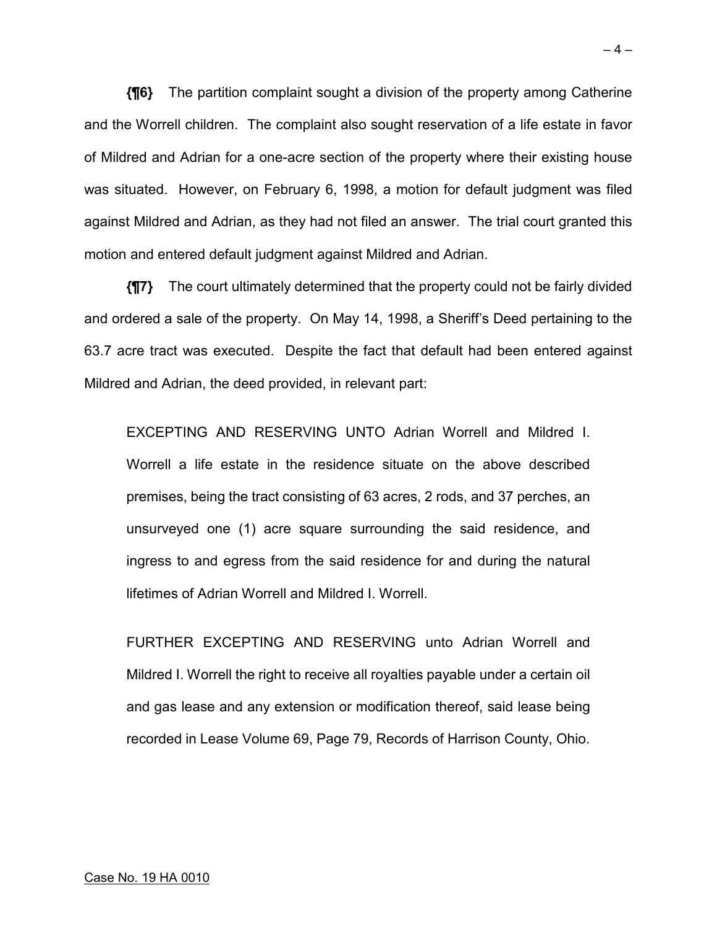**{¶6}** The partition complaint sought a division of the property among Catherine and the Worrell children. The complaint also sought reservation of a life estate in favor of Mildred and Adrian for a one-acre section of the property where their existing house was situated. However, on February 6, 1998, a motion for default judgment was filed against Mildred and Adrian, as they had not filed an answer. The trial court granted this motion and entered default judgment against Mildred and Adrian.

**{¶7}** The court ultimately determined that the property could not be fairly divided and ordered a sale of the property. On May 14, 1998, a Sheriff's Deed pertaining to the 63.7 acre tract was executed. Despite the fact that default had been entered against Mildred and Adrian, the deed provided, in relevant part:

EXCEPTING AND RESERVING UNTO Adrian Worrell and Mildred I. Worrell a life estate in the residence situate on the above described premises, being the tract consisting of 63 acres, 2 rods, and 37 perches, an unsurveyed one (1) acre square surrounding the said residence, and ingress to and egress from the said residence for and during the natural lifetimes of Adrian Worrell and Mildred I. Worrell.

FURTHER EXCEPTING AND RESERVING unto Adrian Worrell and Mildred I. Worrell the right to receive all royalties payable under a certain oil and gas lease and any extension or modification thereof, said lease being recorded in Lease Volume 69, Page 79, Records of Harrison County, Ohio.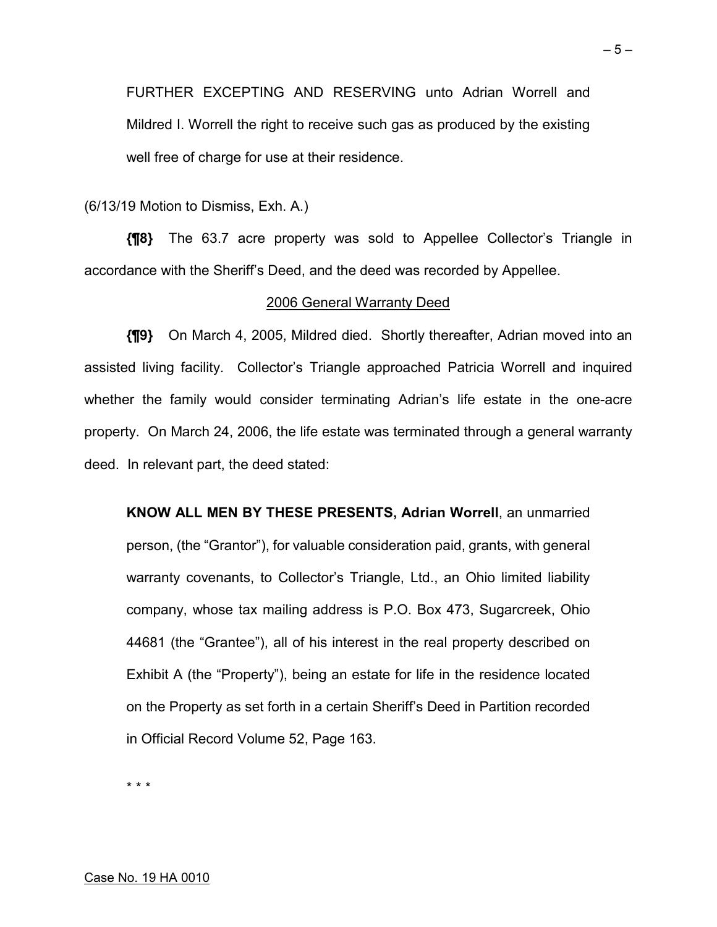FURTHER EXCEPTING AND RESERVING unto Adrian Worrell and Mildred I. Worrell the right to receive such gas as produced by the existing well free of charge for use at their residence.

(6/13/19 Motion to Dismiss, Exh. A.)

**{¶8}** The 63.7 acre property was sold to Appellee Collector's Triangle in accordance with the Sheriff's Deed, and the deed was recorded by Appellee.

#### 2006 General Warranty Deed

**{¶9}** On March 4, 2005, Mildred died. Shortly thereafter, Adrian moved into an assisted living facility. Collector's Triangle approached Patricia Worrell and inquired whether the family would consider terminating Adrian's life estate in the one-acre property. On March 24, 2006, the life estate was terminated through a general warranty deed. In relevant part, the deed stated:

**KNOW ALL MEN BY THESE PRESENTS, Adrian Worrell**, an unmarried person, (the "Grantor"), for valuable consideration paid, grants, with general warranty covenants, to Collector's Triangle, Ltd., an Ohio limited liability company, whose tax mailing address is P.O. Box 473, Sugarcreek, Ohio 44681 (the "Grantee"), all of his interest in the real property described on Exhibit A (the "Property"), being an estate for life in the residence located on the Property as set forth in a certain Sheriff's Deed in Partition recorded in Official Record Volume 52, Page 163.

\* \* \*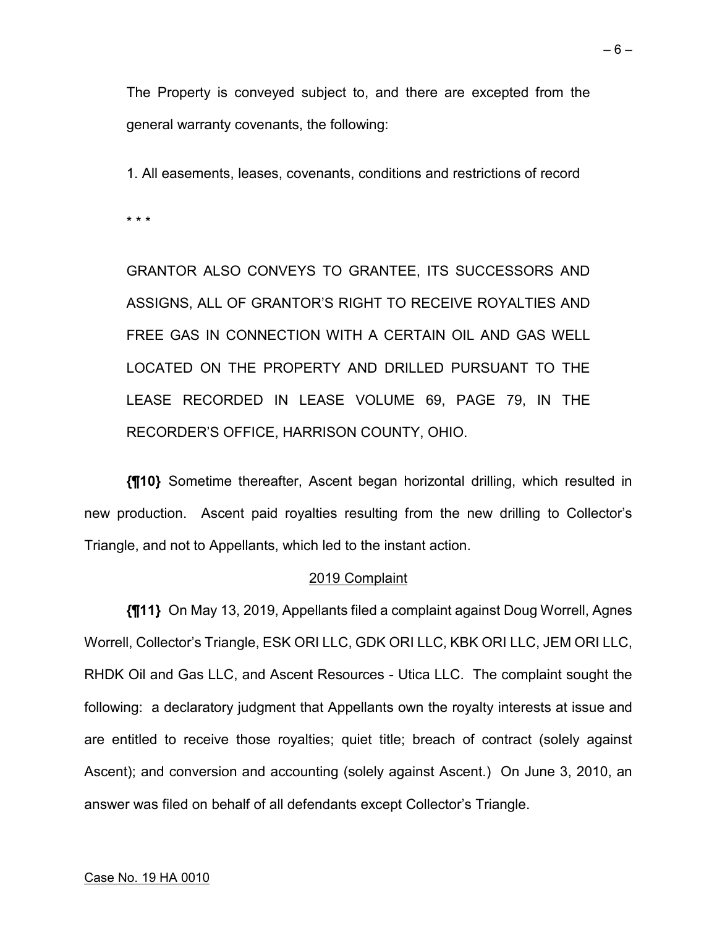The Property is conveyed subject to, and there are excepted from the general warranty covenants, the following:

1. All easements, leases, covenants, conditions and restrictions of record

\* \* \*

GRANTOR ALSO CONVEYS TO GRANTEE, ITS SUCCESSORS AND ASSIGNS, ALL OF GRANTOR'S RIGHT TO RECEIVE ROYALTIES AND FREE GAS IN CONNECTION WITH A CERTAIN OIL AND GAS WELL LOCATED ON THE PROPERTY AND DRILLED PURSUANT TO THE LEASE RECORDED IN LEASE VOLUME 69, PAGE 79, IN THE RECORDER'S OFFICE, HARRISON COUNTY, OHIO.

**{¶10}** Sometime thereafter, Ascent began horizontal drilling, which resulted in new production. Ascent paid royalties resulting from the new drilling to Collector's Triangle, and not to Appellants, which led to the instant action.

#### 2019 Complaint

**{¶11}** On May 13, 2019, Appellants filed a complaint against Doug Worrell, Agnes Worrell, Collector's Triangle, ESK ORI LLC, GDK ORI LLC, KBK ORI LLC, JEM ORI LLC, RHDK Oil and Gas LLC, and Ascent Resources - Utica LLC. The complaint sought the following: a declaratory judgment that Appellants own the royalty interests at issue and are entitled to receive those royalties; quiet title; breach of contract (solely against Ascent); and conversion and accounting (solely against Ascent.) On June 3, 2010, an answer was filed on behalf of all defendants except Collector's Triangle.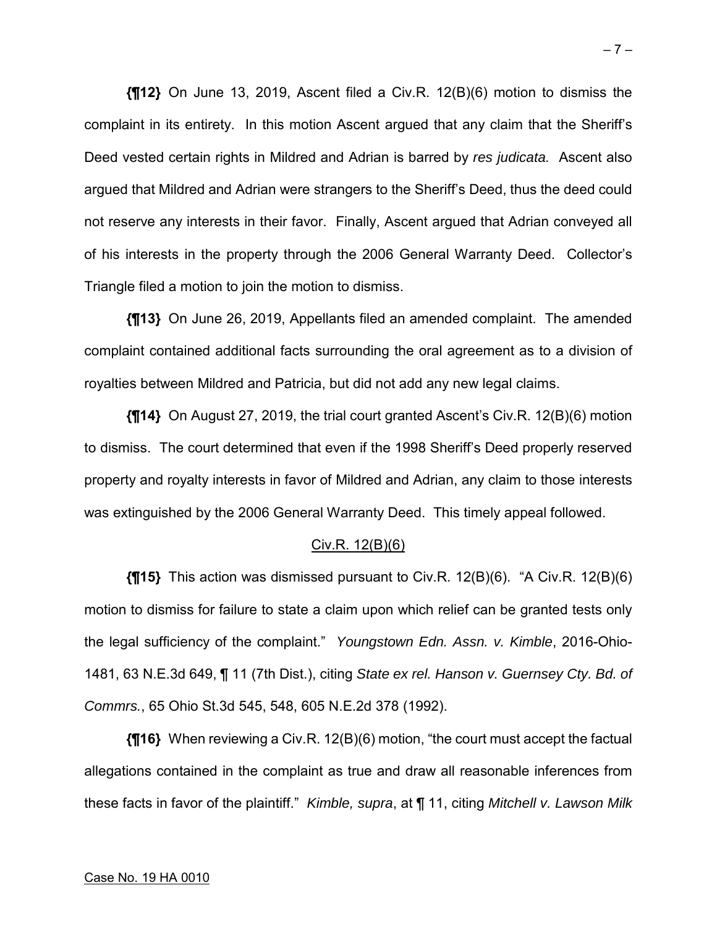**{¶12}** On June 13, 2019, Ascent filed a Civ.R. 12(B)(6) motion to dismiss the complaint in its entirety. In this motion Ascent argued that any claim that the Sheriff's Deed vested certain rights in Mildred and Adrian is barred by *res judicata.* Ascent also argued that Mildred and Adrian were strangers to the Sheriff's Deed, thus the deed could not reserve any interests in their favor. Finally, Ascent argued that Adrian conveyed all of his interests in the property through the 2006 General Warranty Deed. Collector's Triangle filed a motion to join the motion to dismiss.

**{¶13}** On June 26, 2019, Appellants filed an amended complaint. The amended complaint contained additional facts surrounding the oral agreement as to a division of royalties between Mildred and Patricia, but did not add any new legal claims.

**{¶14}** On August 27, 2019, the trial court granted Ascent's Civ.R. 12(B)(6) motion to dismiss. The court determined that even if the 1998 Sheriff's Deed properly reserved property and royalty interests in favor of Mildred and Adrian, any claim to those interests was extinguished by the 2006 General Warranty Deed. This timely appeal followed.

#### Civ.R. 12(B)(6)

**{¶15}** This action was dismissed pursuant to Civ.R. 12(B)(6). "A Civ.R. 12(B)(6) motion to dismiss for failure to state a claim upon which relief can be granted tests only the legal sufficiency of the complaint." *Youngstown Edn. Assn. v. Kimble*, 2016-Ohio-1481, 63 N.E.3d 649, ¶ 11 (7th Dist.), citing *State ex rel. Hanson v. Guernsey Cty. Bd. of Commrs.*, 65 Ohio St.3d 545, 548, 605 N.E.2d 378 (1992).

**{¶16}** When reviewing a Civ.R. 12(B)(6) motion, "the court must accept the factual allegations contained in the complaint as true and draw all reasonable inferences from these facts in favor of the plaintiff." *Kimble, supra*, at ¶ 11, citing *Mitchell v. Lawson Milk*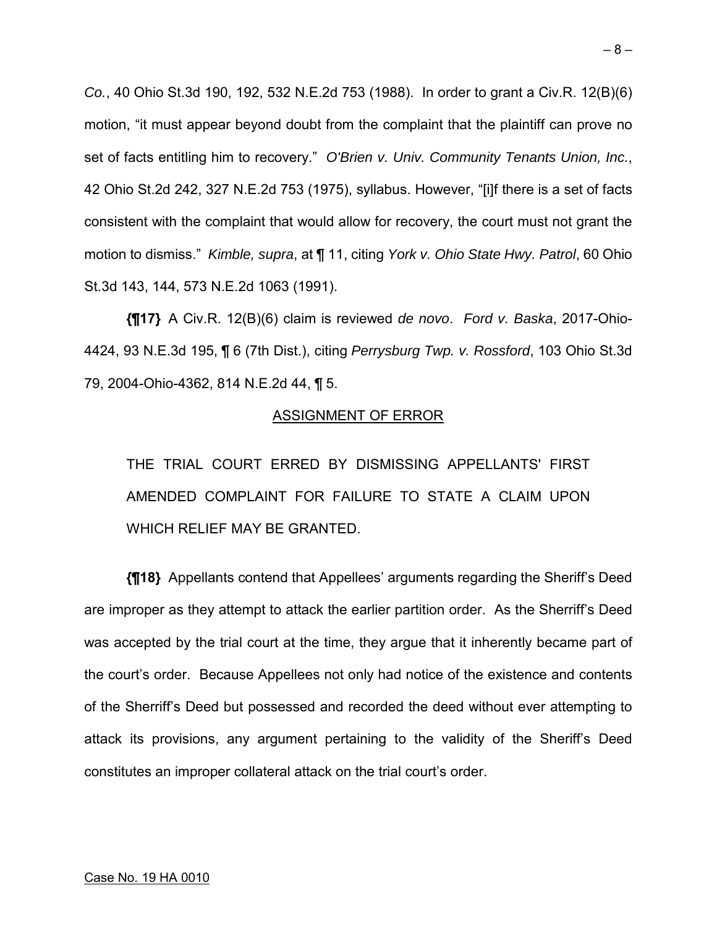*Co.*, 40 Ohio St.3d 190, 192, 532 N.E.2d 753 (1988). In order to grant a Civ.R. 12(B)(6) motion, "it must appear beyond doubt from the complaint that the plaintiff can prove no set of facts entitling him to recovery." *O'Brien v. Univ. Community Tenants Union, Inc.*, 42 Ohio St.2d 242, 327 N.E.2d 753 (1975), syllabus. However, "[i]f there is a set of facts consistent with the complaint that would allow for recovery, the court must not grant the motion to dismiss." *Kimble, supra*, at ¶ 11, citing *York v. Ohio State Hwy. Patrol*, 60 Ohio St.3d 143, 144, 573 N.E.2d 1063 (1991).

**{¶17}** A Civ.R. 12(B)(6) claim is reviewed *de novo*. *Ford v. Baska*, 2017-Ohio-4424, 93 N.E.3d 195, ¶ 6 (7th Dist.), citing *Perrysburg Twp. v. Rossford*, 103 Ohio St.3d 79, 2004-Ohio-4362, 814 N.E.2d 44, ¶ 5.

#### ASSIGNMENT OF ERROR

THE TRIAL COURT ERRED BY DISMISSING APPELLANTS' FIRST AMENDED COMPLAINT FOR FAILURE TO STATE A CLAIM UPON WHICH RELIEF MAY BE GRANTED.

**{¶18}** Appellants contend that Appellees' arguments regarding the Sheriff's Deed are improper as they attempt to attack the earlier partition order. As the Sherriff's Deed was accepted by the trial court at the time, they argue that it inherently became part of the court's order. Because Appellees not only had notice of the existence and contents of the Sherriff's Deed but possessed and recorded the deed without ever attempting to attack its provisions, any argument pertaining to the validity of the Sheriff's Deed constitutes an improper collateral attack on the trial court's order.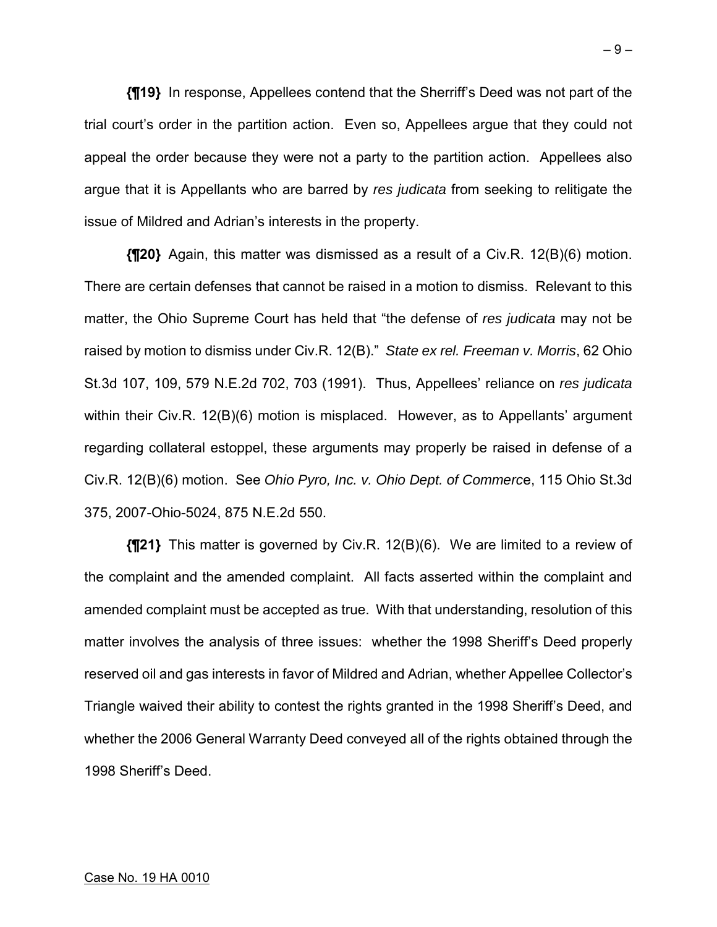**{¶19}** In response, Appellees contend that the Sherriff's Deed was not part of the trial court's order in the partition action. Even so, Appellees argue that they could not appeal the order because they were not a party to the partition action. Appellees also argue that it is Appellants who are barred by *res judicata* from seeking to relitigate the issue of Mildred and Adrian's interests in the property.

**{¶20}** Again, this matter was dismissed as a result of a Civ.R. 12(B)(6) motion. There are certain defenses that cannot be raised in a motion to dismiss. Relevant to this matter, the Ohio Supreme Court has held that "the defense of *res judicata* may not be raised by motion to dismiss under Civ.R. 12(B)." *State ex rel. Freeman v. Morris*, 62 Ohio St.3d 107, 109, 579 N.E.2d 702, 703 (1991). Thus, Appellees' reliance on *res judicata*  within their Civ.R. 12(B)(6) motion is misplaced. However, as to Appellants' argument regarding collateral estoppel, these arguments may properly be raised in defense of a Civ.R. 12(B)(6) motion. See *Ohio Pyro, Inc. v. Ohio Dept. of Commerc*e, 115 Ohio St.3d 375, 2007-Ohio-5024, 875 N.E.2d 550.

**{¶21}** This matter is governed by Civ.R. 12(B)(6). We are limited to a review of the complaint and the amended complaint. All facts asserted within the complaint and amended complaint must be accepted as true. With that understanding, resolution of this matter involves the analysis of three issues: whether the 1998 Sheriff's Deed properly reserved oil and gas interests in favor of Mildred and Adrian, whether Appellee Collector's Triangle waived their ability to contest the rights granted in the 1998 Sheriff's Deed, and whether the 2006 General Warranty Deed conveyed all of the rights obtained through the 1998 Sheriff's Deed.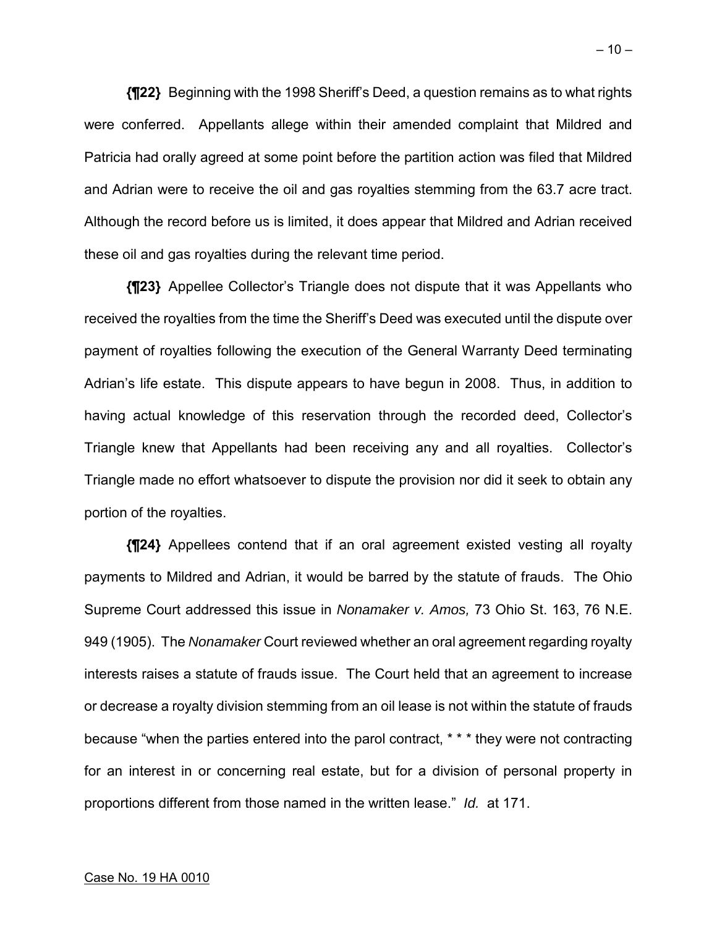**{¶22}** Beginning with the 1998 Sheriff's Deed, a question remains as to what rights were conferred. Appellants allege within their amended complaint that Mildred and Patricia had orally agreed at some point before the partition action was filed that Mildred and Adrian were to receive the oil and gas royalties stemming from the 63.7 acre tract. Although the record before us is limited, it does appear that Mildred and Adrian received these oil and gas royalties during the relevant time period.

**{¶23}** Appellee Collector's Triangle does not dispute that it was Appellants who received the royalties from the time the Sheriff's Deed was executed until the dispute over payment of royalties following the execution of the General Warranty Deed terminating Adrian's life estate. This dispute appears to have begun in 2008. Thus, in addition to having actual knowledge of this reservation through the recorded deed, Collector's Triangle knew that Appellants had been receiving any and all royalties. Collector's Triangle made no effort whatsoever to dispute the provision nor did it seek to obtain any portion of the royalties.

**{¶24}** Appellees contend that if an oral agreement existed vesting all royalty payments to Mildred and Adrian, it would be barred by the statute of frauds. The Ohio Supreme Court addressed this issue in *Nonamaker v. Amos,* 73 Ohio St. 163, 76 N.E. 949 (1905). The *Nonamaker* Court reviewed whether an oral agreement regarding royalty interests raises a statute of frauds issue. The Court held that an agreement to increase or decrease a royalty division stemming from an oil lease is not within the statute of frauds because "when the parties entered into the parol contract, \* \* \* they were not contracting for an interest in or concerning real estate, but for a division of personal property in proportions different from those named in the written lease." *Id.* at 171.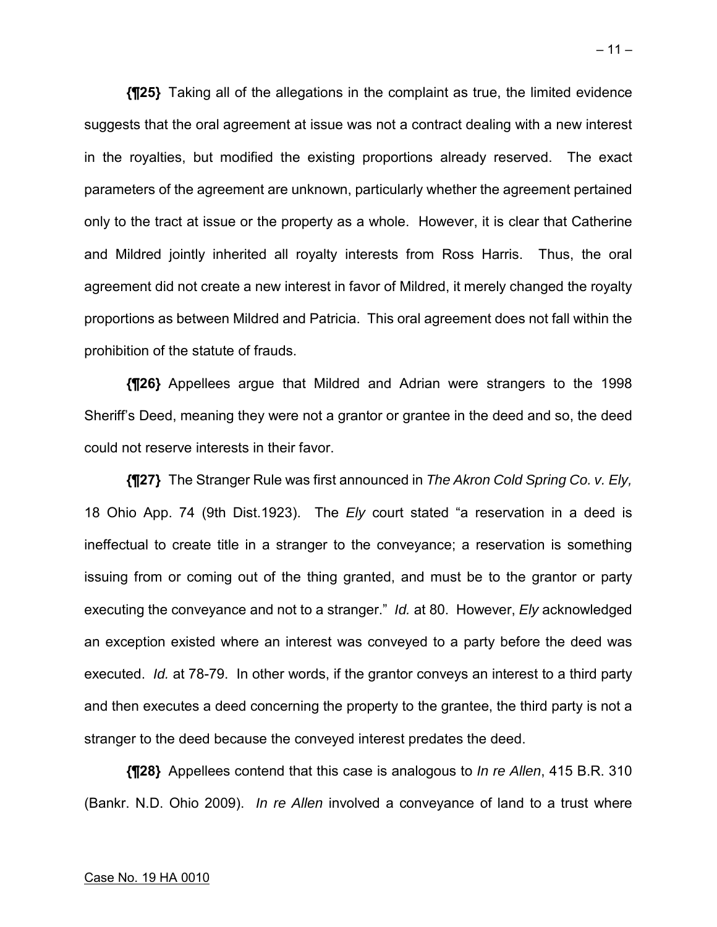**{¶25}** Taking all of the allegations in the complaint as true, the limited evidence suggests that the oral agreement at issue was not a contract dealing with a new interest in the royalties, but modified the existing proportions already reserved. The exact parameters of the agreement are unknown, particularly whether the agreement pertained only to the tract at issue or the property as a whole. However, it is clear that Catherine and Mildred jointly inherited all royalty interests from Ross Harris. Thus, the oral agreement did not create a new interest in favor of Mildred, it merely changed the royalty proportions as between Mildred and Patricia. This oral agreement does not fall within the prohibition of the statute of frauds.

**{¶26}** Appellees argue that Mildred and Adrian were strangers to the 1998 Sheriff's Deed, meaning they were not a grantor or grantee in the deed and so, the deed could not reserve interests in their favor.

**{¶27}** The Stranger Rule was first announced in *The Akron Cold Spring Co. v. Ely,*  18 Ohio App. 74 (9th Dist.1923). The *Ely* court stated "a reservation in a deed is ineffectual to create title in a stranger to the conveyance; a reservation is something issuing from or coming out of the thing granted, and must be to the grantor or party executing the conveyance and not to a stranger." *Id.* at 80. However, *Ely* acknowledged an exception existed where an interest was conveyed to a party before the deed was executed. *Id.* at 78-79. In other words, if the grantor conveys an interest to a third party and then executes a deed concerning the property to the grantee, the third party is not a stranger to the deed because the conveyed interest predates the deed.

**{¶28}** Appellees contend that this case is analogous to *In re Allen*, 415 B.R. 310 (Bankr. N.D. Ohio 2009). *In re Allen* involved a conveyance of land to a trust where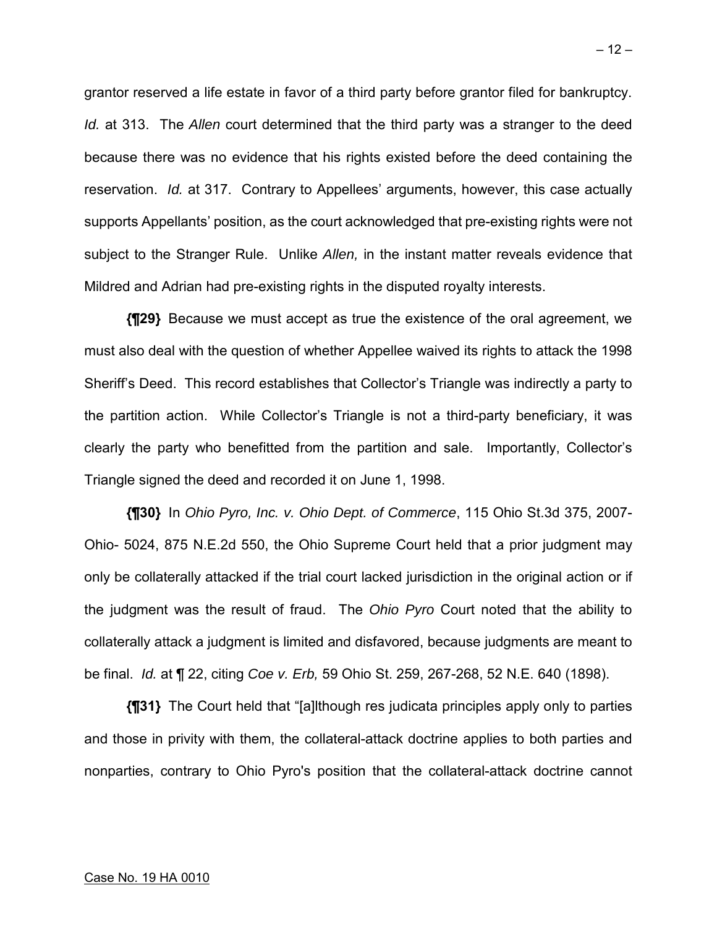grantor reserved a life estate in favor of a third party before grantor filed for bankruptcy. *Id.* at 313. The *Allen* court determined that the third party was a stranger to the deed because there was no evidence that his rights existed before the deed containing the reservation. *Id.* at 317. Contrary to Appellees' arguments, however, this case actually supports Appellants' position, as the court acknowledged that pre-existing rights were not subject to the Stranger Rule. Unlike *Allen,* in the instant matter reveals evidence that Mildred and Adrian had pre-existing rights in the disputed royalty interests.

**{¶29}** Because we must accept as true the existence of the oral agreement, we must also deal with the question of whether Appellee waived its rights to attack the 1998 Sheriff's Deed. This record establishes that Collector's Triangle was indirectly a party to the partition action. While Collector's Triangle is not a third-party beneficiary, it was clearly the party who benefitted from the partition and sale. Importantly, Collector's Triangle signed the deed and recorded it on June 1, 1998.

**{¶30}** In *Ohio Pyro, Inc. v. Ohio Dept. of Commerce*, 115 Ohio St.3d 375, 2007- Ohio- 5024, 875 N.E.2d 550, the Ohio Supreme Court held that a prior judgment may only be collaterally attacked if the trial court lacked jurisdiction in the original action or if the judgment was the result of fraud. The *Ohio Pyro* Court noted that the ability to collaterally attack a judgment is limited and disfavored, because judgments are meant to be final. *Id.* at ¶ 22, citing *Coe v. Erb,* 59 Ohio St. 259, 267-268, 52 N.E. 640 (1898).

**{¶31}** The Court held that "[a]lthough res judicata principles apply only to parties and those in privity with them, the collateral-attack doctrine applies to both parties and nonparties, contrary to Ohio Pyro's position that the collateral-attack doctrine cannot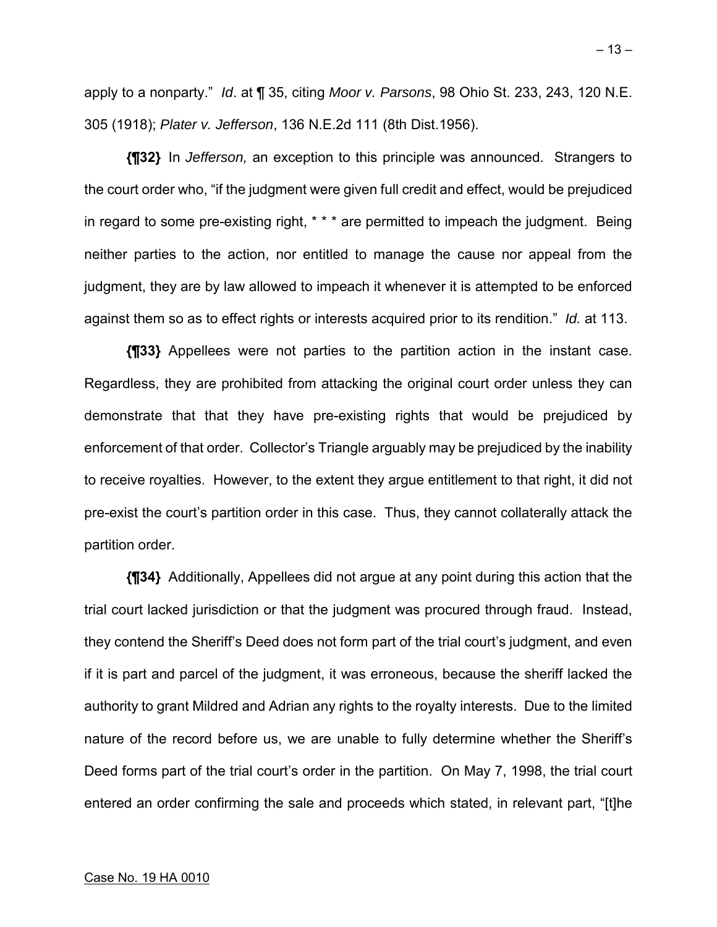apply to a nonparty." *Id*. at ¶ 35, citing *Moor v. Parsons*, 98 Ohio St. 233, 243, 120 N.E. 305 (1918); *Plater v. Jefferson*, 136 N.E.2d 111 (8th Dist.1956).

**{¶32}** In *Jefferson,* an exception to this principle was announced. Strangers to the court order who, "if the judgment were given full credit and effect, would be prejudiced in regard to some pre-existing right, \* \* \* are permitted to impeach the judgment. Being neither parties to the action, nor entitled to manage the cause nor appeal from the judgment, they are by law allowed to impeach it whenever it is attempted to be enforced against them so as to effect rights or interests acquired prior to its rendition." *Id.* at 113.

**{¶33}** Appellees were not parties to the partition action in the instant case. Regardless, they are prohibited from attacking the original court order unless they can demonstrate that that they have pre-existing rights that would be prejudiced by enforcement of that order. Collector's Triangle arguably may be prejudiced by the inability to receive royalties. However, to the extent they argue entitlement to that right, it did not pre-exist the court's partition order in this case. Thus, they cannot collaterally attack the partition order.

**{¶34}** Additionally, Appellees did not argue at any point during this action that the trial court lacked jurisdiction or that the judgment was procured through fraud. Instead, they contend the Sheriff's Deed does not form part of the trial court's judgment, and even if it is part and parcel of the judgment, it was erroneous, because the sheriff lacked the authority to grant Mildred and Adrian any rights to the royalty interests. Due to the limited nature of the record before us, we are unable to fully determine whether the Sheriff's Deed forms part of the trial court's order in the partition. On May 7, 1998, the trial court entered an order confirming the sale and proceeds which stated, in relevant part, "[t]he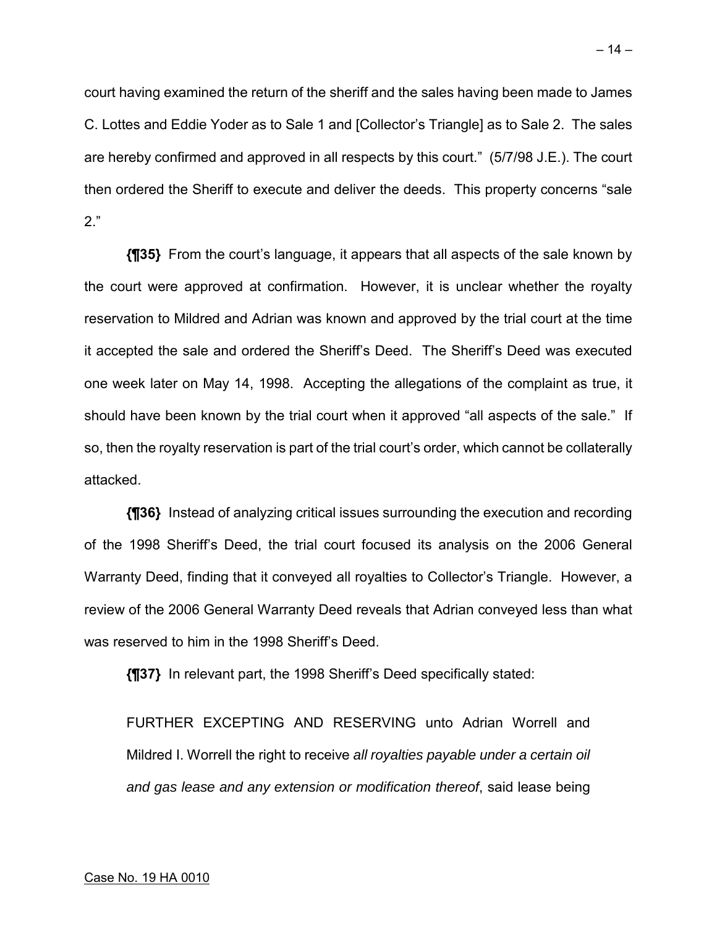court having examined the return of the sheriff and the sales having been made to James C. Lottes and Eddie Yoder as to Sale 1 and [Collector's Triangle] as to Sale 2. The sales are hereby confirmed and approved in all respects by this court." (5/7/98 J.E.). The court then ordered the Sheriff to execute and deliver the deeds. This property concerns "sale

2."

**{¶35}** From the court's language, it appears that all aspects of the sale known by the court were approved at confirmation. However, it is unclear whether the royalty reservation to Mildred and Adrian was known and approved by the trial court at the time it accepted the sale and ordered the Sheriff's Deed. The Sheriff's Deed was executed one week later on May 14, 1998. Accepting the allegations of the complaint as true, it should have been known by the trial court when it approved "all aspects of the sale." If so, then the royalty reservation is part of the trial court's order, which cannot be collaterally attacked.

**{¶36}** Instead of analyzing critical issues surrounding the execution and recording of the 1998 Sheriff's Deed, the trial court focused its analysis on the 2006 General Warranty Deed, finding that it conveyed all royalties to Collector's Triangle. However, a review of the 2006 General Warranty Deed reveals that Adrian conveyed less than what was reserved to him in the 1998 Sheriff's Deed.

**{¶37}** In relevant part, the 1998 Sheriff's Deed specifically stated:

FURTHER EXCEPTING AND RESERVING unto Adrian Worrell and Mildred I. Worrell the right to receive *all royalties payable under a certain oil and gas lease and any extension or modification thereof*, said lease being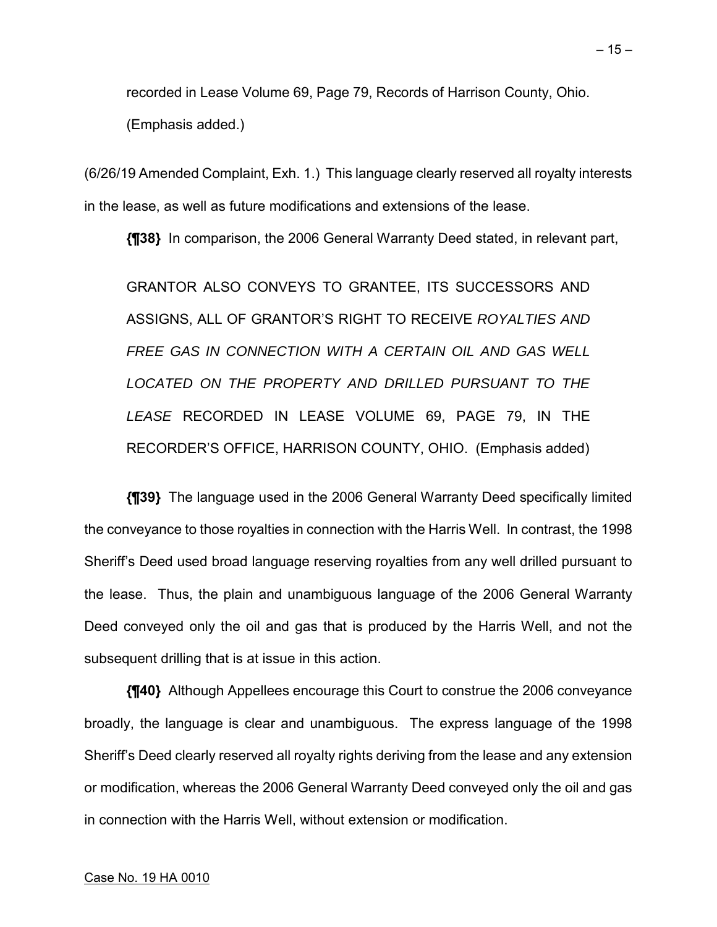recorded in Lease Volume 69, Page 79, Records of Harrison County, Ohio. (Emphasis added.)

(6/26/19 Amended Complaint, Exh. 1.) This language clearly reserved all royalty interests in the lease, as well as future modifications and extensions of the lease.

**{¶38}** In comparison, the 2006 General Warranty Deed stated, in relevant part,

GRANTOR ALSO CONVEYS TO GRANTEE, ITS SUCCESSORS AND ASSIGNS, ALL OF GRANTOR'S RIGHT TO RECEIVE *ROYALTIES AND FREE GAS IN CONNECTION WITH A CERTAIN OIL AND GAS WELL LOCATED ON THE PROPERTY AND DRILLED PURSUANT TO THE LEASE* RECORDED IN LEASE VOLUME 69, PAGE 79, IN THE RECORDER'S OFFICE, HARRISON COUNTY, OHIO. (Emphasis added)

**{¶39}** The language used in the 2006 General Warranty Deed specifically limited the conveyance to those royalties in connection with the Harris Well. In contrast, the 1998 Sheriff's Deed used broad language reserving royalties from any well drilled pursuant to the lease. Thus, the plain and unambiguous language of the 2006 General Warranty Deed conveyed only the oil and gas that is produced by the Harris Well, and not the subsequent drilling that is at issue in this action.

**{¶40}** Although Appellees encourage this Court to construe the 2006 conveyance broadly, the language is clear and unambiguous. The express language of the 1998 Sheriff's Deed clearly reserved all royalty rights deriving from the lease and any extension or modification, whereas the 2006 General Warranty Deed conveyed only the oil and gas in connection with the Harris Well, without extension or modification.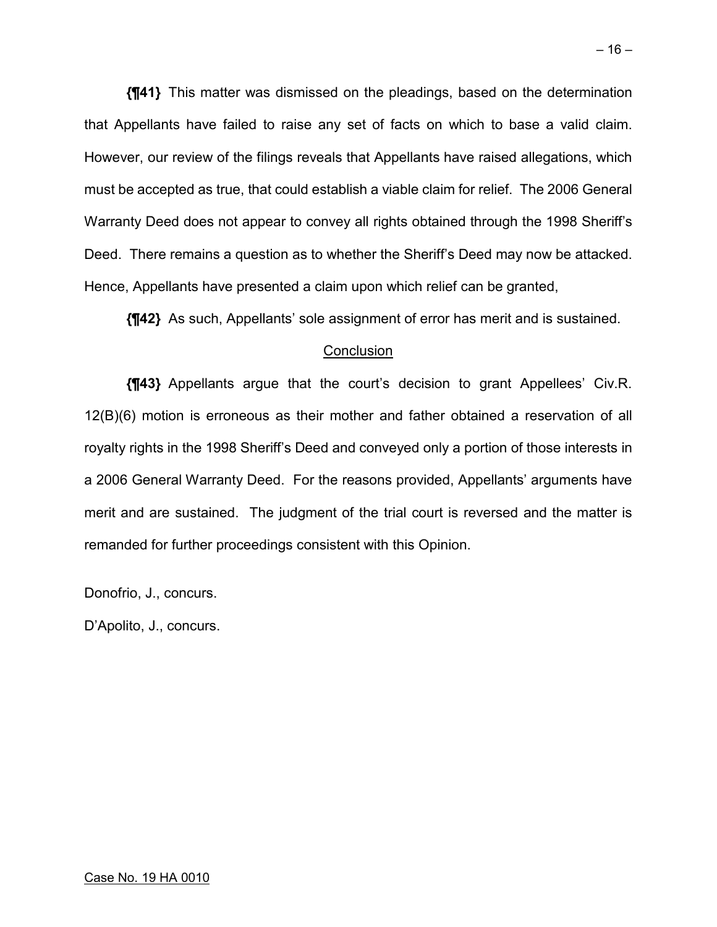**{¶41}** This matter was dismissed on the pleadings, based on the determination that Appellants have failed to raise any set of facts on which to base a valid claim. However, our review of the filings reveals that Appellants have raised allegations, which must be accepted as true, that could establish a viable claim for relief. The 2006 General Warranty Deed does not appear to convey all rights obtained through the 1998 Sheriff's Deed. There remains a question as to whether the Sheriff's Deed may now be attacked. Hence, Appellants have presented a claim upon which relief can be granted,

**{¶42}** As such, Appellants' sole assignment of error has merit and is sustained.

### **Conclusion**

**{¶43}** Appellants argue that the court's decision to grant Appellees' Civ.R. 12(B)(6) motion is erroneous as their mother and father obtained a reservation of all royalty rights in the 1998 Sheriff's Deed and conveyed only a portion of those interests in a 2006 General Warranty Deed. For the reasons provided, Appellants' arguments have merit and are sustained. The judgment of the trial court is reversed and the matter is remanded for further proceedings consistent with this Opinion.

Donofrio, J., concurs.

D'Apolito, J., concurs.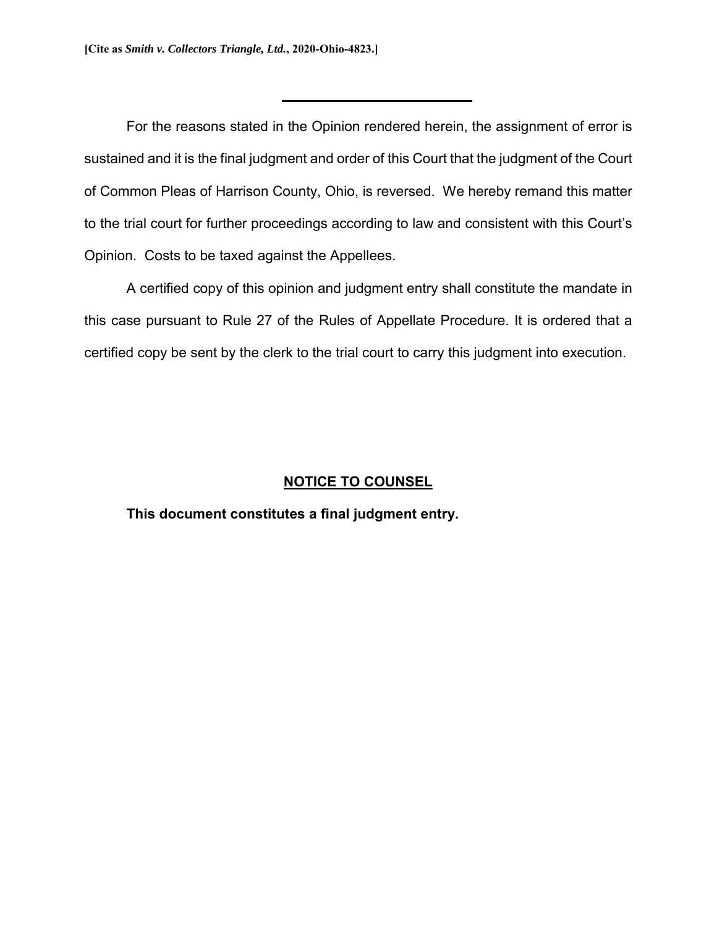For the reasons stated in the Opinion rendered herein, the assignment of error is sustained and it is the final judgment and order of this Court that the judgment of the Court of Common Pleas of Harrison County, Ohio, is reversed. We hereby remand this matter to the trial court for further proceedings according to law and consistent with this Court's Opinion. Costs to be taxed against the Appellees.

A certified copy of this opinion and judgment entry shall constitute the mandate in this case pursuant to Rule 27 of the Rules of Appellate Procedure. It is ordered that a certified copy be sent by the clerk to the trial court to carry this judgment into execution.

### **NOTICE TO COUNSEL**

#### **This document constitutes a final judgment entry.**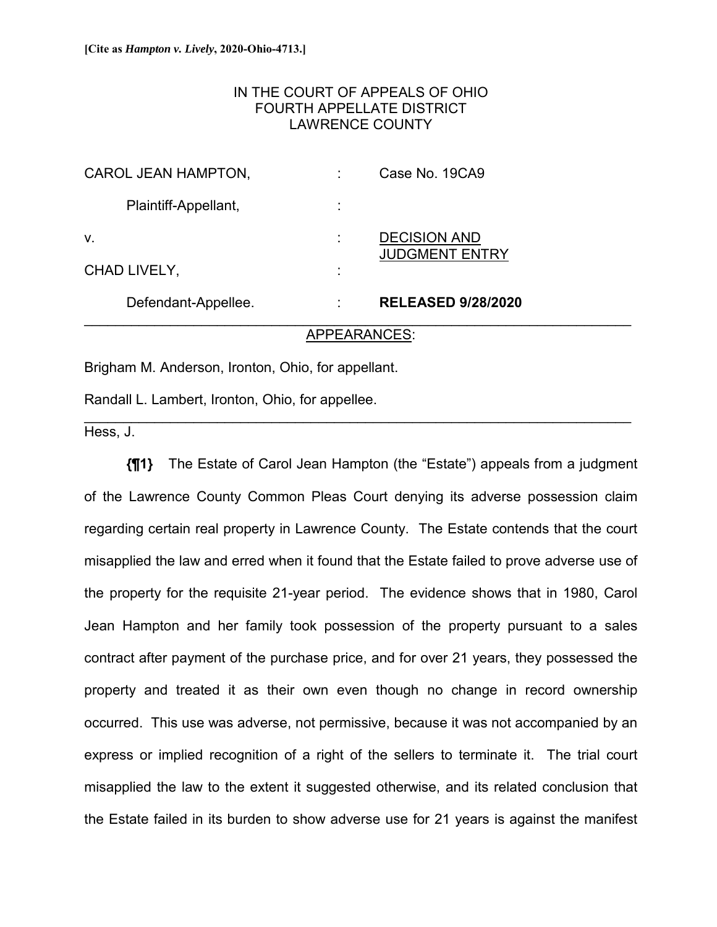# IN THE COURT OF APPEALS OF OHIO FOURTH APPELLATE DISTRICT LAWRENCE COUNTY

| Defendant-Appellee.  |   | <b>RELEASED 9/28/2020</b>                    |  |
|----------------------|---|----------------------------------------------|--|
| CHAD LIVELY,         | ٠ |                                              |  |
| V.                   |   | <b>DECISION AND</b><br><b>JUDGMENT ENTRY</b> |  |
| Plaintiff-Appellant, |   |                                              |  |
| CAROL JEAN HAMPTON,  |   | Case No. 19CA9                               |  |

#### APPEARANCES:

\_\_\_\_\_\_\_\_\_\_\_\_\_\_\_\_\_\_\_\_\_\_\_\_\_\_\_\_\_\_\_\_\_\_\_\_\_\_\_\_\_\_\_\_\_\_\_\_\_\_\_\_\_\_\_\_\_\_\_\_\_\_\_\_\_\_\_\_\_\_

Brigham M. Anderson, Ironton, Ohio, for appellant.

Randall L. Lambert, Ironton, Ohio, for appellee.

Hess, J.

**{¶1}** The Estate of Carol Jean Hampton (the "Estate") appeals from a judgment of the Lawrence County Common Pleas Court denying its adverse possession claim regarding certain real property in Lawrence County. The Estate contends that the court misapplied the law and erred when it found that the Estate failed to prove adverse use of the property for the requisite 21-year period. The evidence shows that in 1980, Carol Jean Hampton and her family took possession of the property pursuant to a sales contract after payment of the purchase price, and for over 21 years, they possessed the property and treated it as their own even though no change in record ownership occurred. This use was adverse, not permissive, because it was not accompanied by an express or implied recognition of a right of the sellers to terminate it. The trial court misapplied the law to the extent it suggested otherwise, and its related conclusion that the Estate failed in its burden to show adverse use for 21 years is against the manifest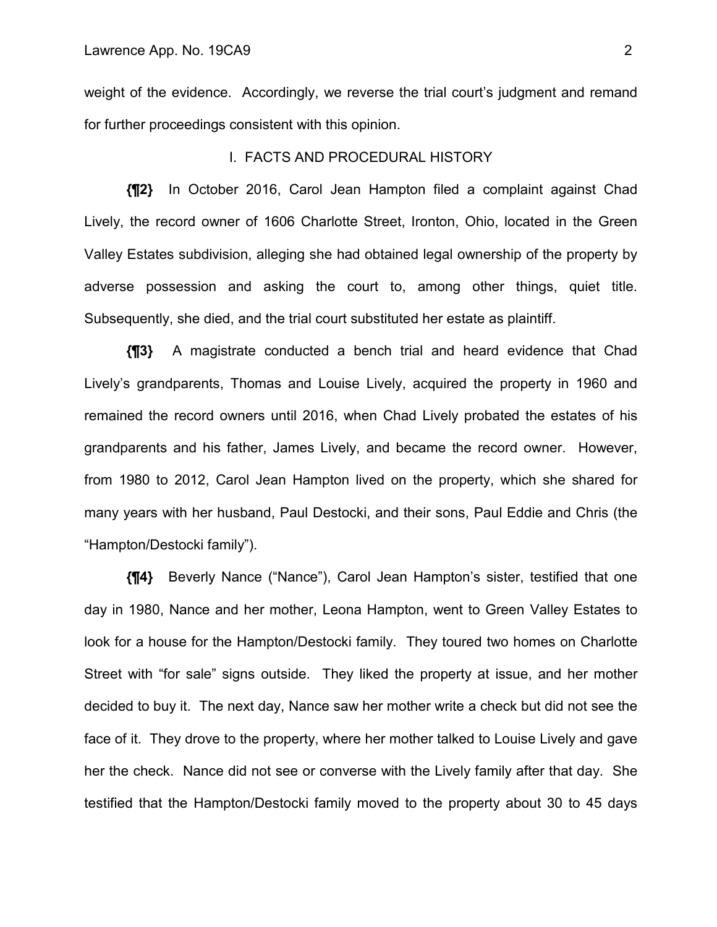weight of the evidence. Accordingly, we reverse the trial court's judgment and remand for further proceedings consistent with this opinion.

#### I. FACTS AND PROCEDURAL HISTORY

**{¶2}** In October 2016, Carol Jean Hampton filed a complaint against Chad Lively, the record owner of 1606 Charlotte Street, Ironton, Ohio, located in the Green Valley Estates subdivision, alleging she had obtained legal ownership of the property by adverse possession and asking the court to, among other things, quiet title. Subsequently, she died, and the trial court substituted her estate as plaintiff.

**{¶3}** A magistrate conducted a bench trial and heard evidence that Chad Lively's grandparents, Thomas and Louise Lively, acquired the property in 1960 and remained the record owners until 2016, when Chad Lively probated the estates of his grandparents and his father, James Lively, and became the record owner. However, from 1980 to 2012, Carol Jean Hampton lived on the property, which she shared for many years with her husband, Paul Destocki, and their sons, Paul Eddie and Chris (the "Hampton/Destocki family").

**{¶4}** Beverly Nance ("Nance"), Carol Jean Hampton's sister, testified that one day in 1980, Nance and her mother, Leona Hampton, went to Green Valley Estates to look for a house for the Hampton/Destocki family. They toured two homes on Charlotte Street with "for sale" signs outside. They liked the property at issue, and her mother decided to buy it. The next day, Nance saw her mother write a check but did not see the face of it. They drove to the property, where her mother talked to Louise Lively and gave her the check. Nance did not see or converse with the Lively family after that day. She testified that the Hampton/Destocki family moved to the property about 30 to 45 days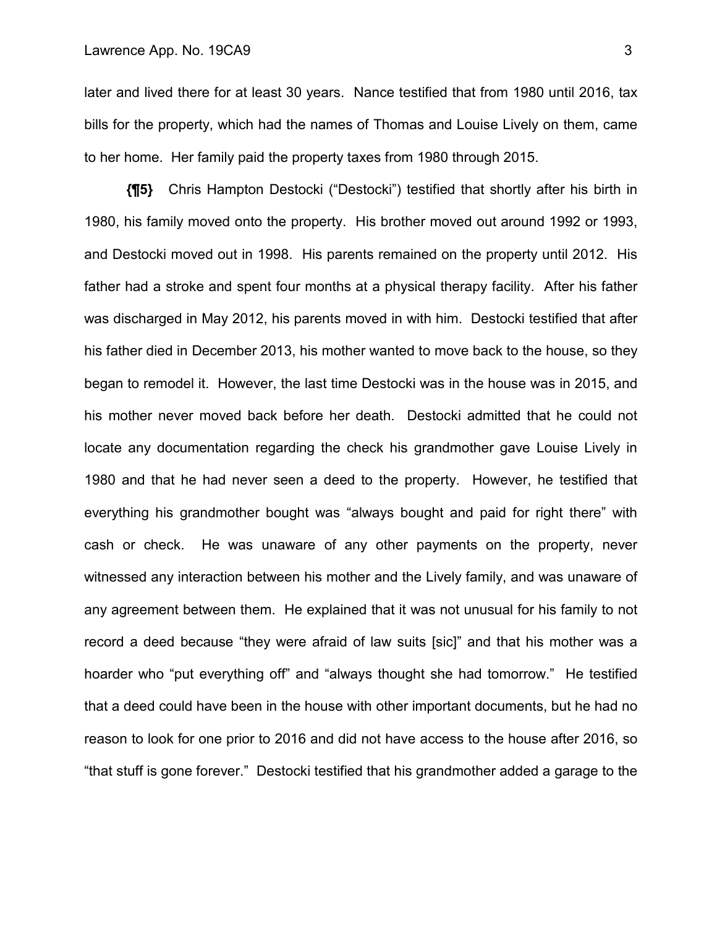later and lived there for at least 30 years. Nance testified that from 1980 until 2016, tax bills for the property, which had the names of Thomas and Louise Lively on them, came to her home. Her family paid the property taxes from 1980 through 2015.

**{¶5}** Chris Hampton Destocki ("Destocki") testified that shortly after his birth in 1980, his family moved onto the property. His brother moved out around 1992 or 1993, and Destocki moved out in 1998. His parents remained on the property until 2012. His father had a stroke and spent four months at a physical therapy facility. After his father was discharged in May 2012, his parents moved in with him. Destocki testified that after his father died in December 2013, his mother wanted to move back to the house, so they began to remodel it. However, the last time Destocki was in the house was in 2015, and his mother never moved back before her death. Destocki admitted that he could not locate any documentation regarding the check his grandmother gave Louise Lively in 1980 and that he had never seen a deed to the property. However, he testified that everything his grandmother bought was "always bought and paid for right there" with cash or check. He was unaware of any other payments on the property, never witnessed any interaction between his mother and the Lively family, and was unaware of any agreement between them. He explained that it was not unusual for his family to not record a deed because "they were afraid of law suits [sic]" and that his mother was a hoarder who "put everything off" and "always thought she had tomorrow." He testified that a deed could have been in the house with other important documents, but he had no reason to look for one prior to 2016 and did not have access to the house after 2016, so "that stuff is gone forever." Destocki testified that his grandmother added a garage to the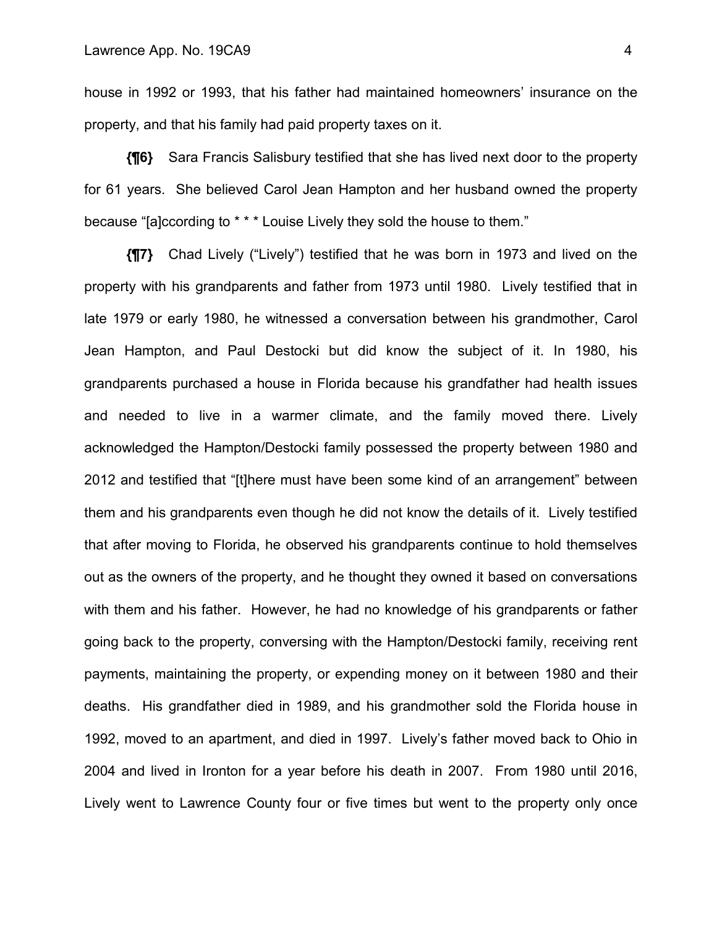house in 1992 or 1993, that his father had maintained homeowners' insurance on the property, and that his family had paid property taxes on it.

**{¶6}** Sara Francis Salisbury testified that she has lived next door to the property for 61 years. She believed Carol Jean Hampton and her husband owned the property because "[a]ccording to \* \* \* Louise Lively they sold the house to them."

**{¶7}** Chad Lively ("Lively") testified that he was born in 1973 and lived on the property with his grandparents and father from 1973 until 1980. Lively testified that in late 1979 or early 1980, he witnessed a conversation between his grandmother, Carol Jean Hampton, and Paul Destocki but did know the subject of it. In 1980, his grandparents purchased a house in Florida because his grandfather had health issues and needed to live in a warmer climate, and the family moved there. Lively acknowledged the Hampton/Destocki family possessed the property between 1980 and 2012 and testified that "[t]here must have been some kind of an arrangement" between them and his grandparents even though he did not know the details of it. Lively testified that after moving to Florida, he observed his grandparents continue to hold themselves out as the owners of the property, and he thought they owned it based on conversations with them and his father. However, he had no knowledge of his grandparents or father going back to the property, conversing with the Hampton/Destocki family, receiving rent payments, maintaining the property, or expending money on it between 1980 and their deaths. His grandfather died in 1989, and his grandmother sold the Florida house in 1992, moved to an apartment, and died in 1997. Lively's father moved back to Ohio in 2004 and lived in Ironton for a year before his death in 2007. From 1980 until 2016, Lively went to Lawrence County four or five times but went to the property only once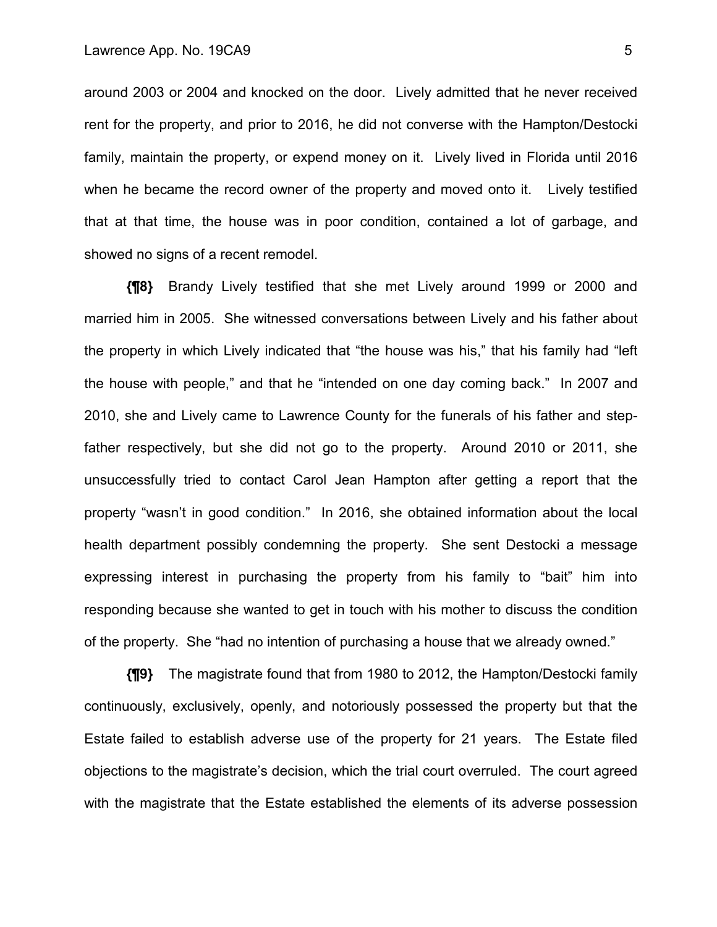around 2003 or 2004 and knocked on the door. Lively admitted that he never received rent for the property, and prior to 2016, he did not converse with the Hampton/Destocki family, maintain the property, or expend money on it. Lively lived in Florida until 2016 when he became the record owner of the property and moved onto it. Lively testified that at that time, the house was in poor condition, contained a lot of garbage, and showed no signs of a recent remodel.

**{¶8}** Brandy Lively testified that she met Lively around 1999 or 2000 and married him in 2005. She witnessed conversations between Lively and his father about the property in which Lively indicated that "the house was his," that his family had "left the house with people," and that he "intended on one day coming back." In 2007 and 2010, she and Lively came to Lawrence County for the funerals of his father and stepfather respectively, but she did not go to the property. Around 2010 or 2011, she unsuccessfully tried to contact Carol Jean Hampton after getting a report that the property "wasn't in good condition." In 2016, she obtained information about the local health department possibly condemning the property. She sent Destocki a message expressing interest in purchasing the property from his family to "bait" him into responding because she wanted to get in touch with his mother to discuss the condition of the property. She "had no intention of purchasing a house that we already owned."

**{¶9}** The magistrate found that from 1980 to 2012, the Hampton/Destocki family continuously, exclusively, openly, and notoriously possessed the property but that the Estate failed to establish adverse use of the property for 21 years. The Estate filed objections to the magistrate's decision, which the trial court overruled. The court agreed with the magistrate that the Estate established the elements of its adverse possession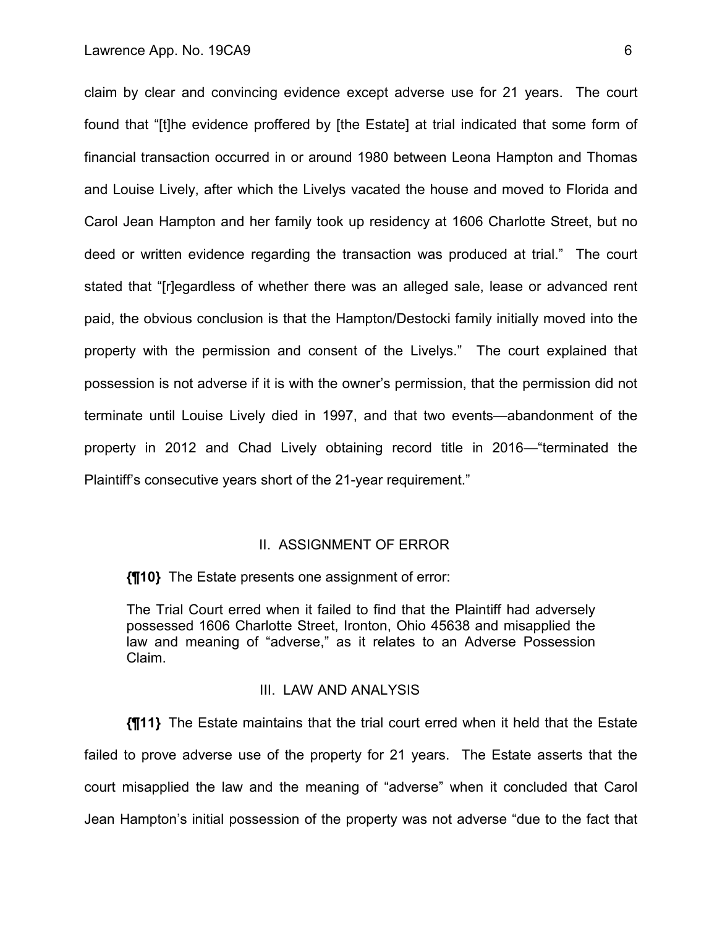claim by clear and convincing evidence except adverse use for 21 years. The court found that "[t]he evidence proffered by [the Estate] at trial indicated that some form of financial transaction occurred in or around 1980 between Leona Hampton and Thomas and Louise Lively, after which the Livelys vacated the house and moved to Florida and Carol Jean Hampton and her family took up residency at 1606 Charlotte Street, but no deed or written evidence regarding the transaction was produced at trial." The court stated that "[r]egardless of whether there was an alleged sale, lease or advanced rent paid, the obvious conclusion is that the Hampton/Destocki family initially moved into the property with the permission and consent of the Livelys." The court explained that possession is not adverse if it is with the owner's permission, that the permission did not terminate until Louise Lively died in 1997, and that two events—abandonment of the property in 2012 and Chad Lively obtaining record title in 2016—"terminated the Plaintiff's consecutive years short of the 21-year requirement."

#### II. ASSIGNMENT OF ERROR

**{¶10}** The Estate presents one assignment of error:

The Trial Court erred when it failed to find that the Plaintiff had adversely possessed 1606 Charlotte Street, Ironton, Ohio 45638 and misapplied the law and meaning of "adverse," as it relates to an Adverse Possession Claim.

#### III. LAW AND ANALYSIS

**{¶11}** The Estate maintains that the trial court erred when it held that the Estate failed to prove adverse use of the property for 21 years. The Estate asserts that the court misapplied the law and the meaning of "adverse" when it concluded that Carol Jean Hampton's initial possession of the property was not adverse "due to the fact that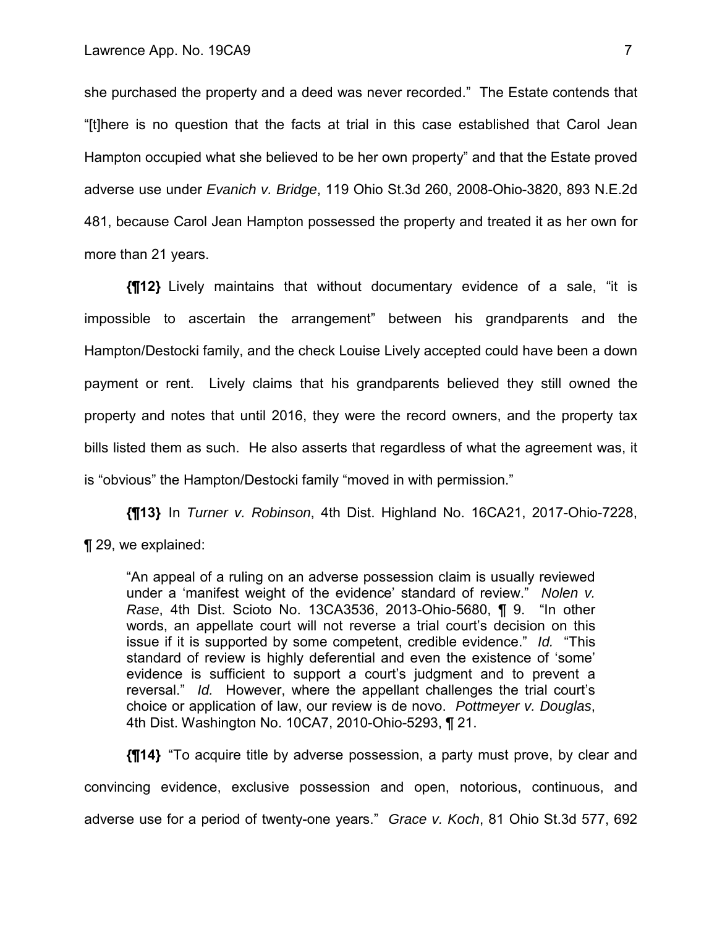she purchased the property and a deed was never recorded." The Estate contends that "[t]here is no question that the facts at trial in this case established that Carol Jean Hampton occupied what she believed to be her own property" and that the Estate proved adverse use under *Evanich v. Bridge*, 119 Ohio St.3d 260, 2008-Ohio-3820, 893 N.E.2d 481, because Carol Jean Hampton possessed the property and treated it as her own for more than 21 years.

**{¶12}** Lively maintains that without documentary evidence of a sale, "it is impossible to ascertain the arrangement" between his grandparents and the Hampton/Destocki family, and the check Louise Lively accepted could have been a down payment or rent. Lively claims that his grandparents believed they still owned the property and notes that until 2016, they were the record owners, and the property tax bills listed them as such. He also asserts that regardless of what the agreement was, it is "obvious" the Hampton/Destocki family "moved in with permission."

**{¶13}** In *Turner v. Robinson*, 4th Dist. Highland No. 16CA21, 2017-Ohio-7228, ¶ 29, we explained:

"An appeal of a ruling on an adverse possession claim is usually reviewed under a 'manifest weight of the evidence' standard of review." *Nolen v. Rase*, 4th Dist. Scioto No. 13CA3536, 2013-Ohio-5680, ¶ 9. "In other words, an appellate court will not reverse a trial court's decision on this issue if it is supported by some competent, credible evidence." *Id.* "This standard of review is highly deferential and even the existence of 'some' evidence is sufficient to support a court's judgment and to prevent a reversal." *Id.* However, where the appellant challenges the trial court's choice or application of law, our review is de novo. *Pottmeyer v. Douglas*, 4th Dist. Washington No. 10CA7, 2010-Ohio-5293, ¶ 21.

**{¶14}** "To acquire title by adverse possession, a party must prove, by clear and convincing evidence, exclusive possession and open, notorious, continuous, and adverse use for a period of twenty-one years." *Grace v. Koch*, 81 Ohio St.3d 577, 692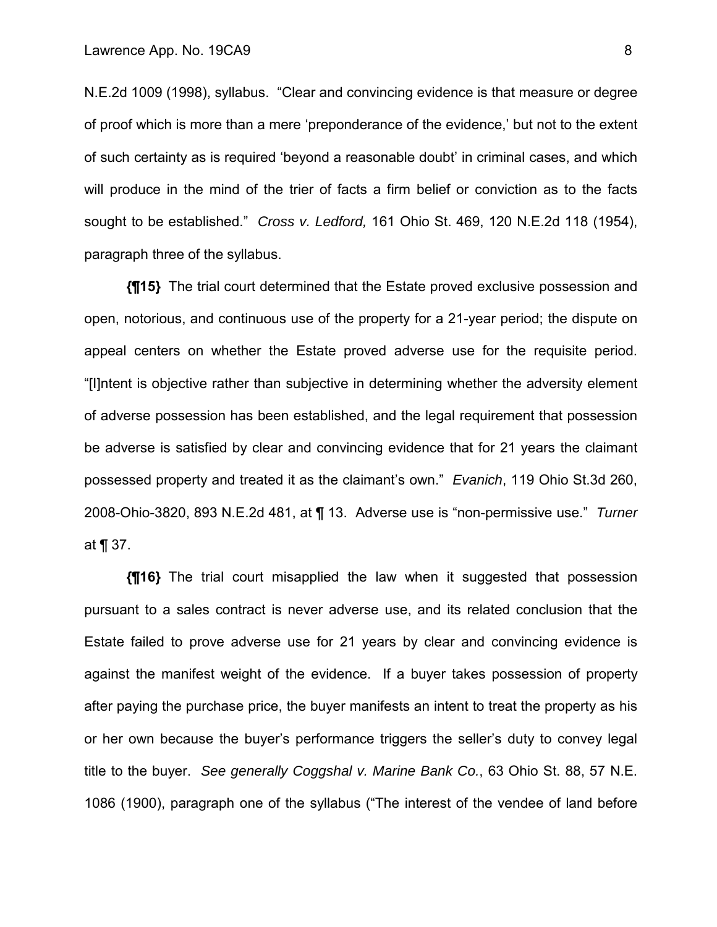N.E.2d 1009 (1998), syllabus. "Clear and convincing evidence is that measure or degree of proof which is more than a mere 'preponderance of the evidence,' but not to the extent of such certainty as is required 'beyond a reasonable doubt' in criminal cases, and which will produce in the mind of the trier of facts a firm belief or conviction as to the facts sought to be established." *Cross v. Ledford,* 161 Ohio St. 469, 120 N.E.2d 118 (1954), paragraph three of the syllabus.

**{¶15}** The trial court determined that the Estate proved exclusive possession and open, notorious, and continuous use of the property for a 21-year period; the dispute on appeal centers on whether the Estate proved adverse use for the requisite period. "[I]ntent is objective rather than subjective in determining whether the adversity element of adverse possession has been established, and the legal requirement that possession be adverse is satisfied by clear and convincing evidence that for 21 years the claimant possessed property and treated it as the claimant's own." *Evanich*, 119 Ohio St.3d 260, 2008-Ohio-3820, 893 N.E.2d 481, at ¶ 13. Adverse use is "non-permissive use." *Turner*  at ¶ 37.

**{¶16}** The trial court misapplied the law when it suggested that possession pursuant to a sales contract is never adverse use, and its related conclusion that the Estate failed to prove adverse use for 21 years by clear and convincing evidence is against the manifest weight of the evidence. If a buyer takes possession of property after paying the purchase price, the buyer manifests an intent to treat the property as his or her own because the buyer's performance triggers the seller's duty to convey legal title to the buyer. *See generally Coggshal v. Marine Bank Co.*, 63 Ohio St. 88, 57 N.E. 1086 (1900), paragraph one of the syllabus ("The interest of the vendee of land before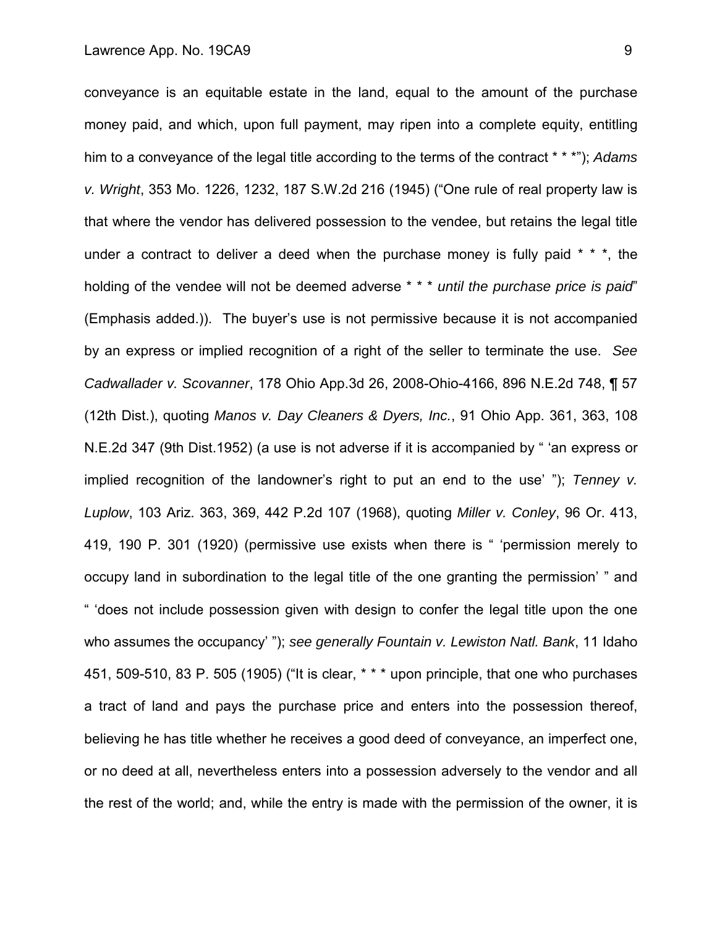conveyance is an equitable estate in the land, equal to the amount of the purchase money paid, and which, upon full payment, may ripen into a complete equity, entitling him to a conveyance of the legal title according to the terms of the contract \* \* \*"); *Adams v. Wright*, 353 Mo. 1226, 1232, 187 S.W.2d 216 (1945) ("One rule of real property law is that where the vendor has delivered possession to the vendee, but retains the legal title under a contract to deliver a deed when the purchase money is fully paid  $* * *$ , the holding of the vendee will not be deemed adverse \* \* \* *until the purchase price is paid*" (Emphasis added.)). The buyer's use is not permissive because it is not accompanied by an express or implied recognition of a right of the seller to terminate the use. *See Cadwallader v. Scovanner*, 178 Ohio App.3d 26, 2008-Ohio-4166, 896 N.E.2d 748, ¶ 57 (12th Dist.), quoting *Manos v. Day Cleaners & Dyers, Inc.*, 91 Ohio App. 361, 363, 108 N.E.2d 347 (9th Dist.1952) (a use is not adverse if it is accompanied by " 'an express or implied recognition of the landowner's right to put an end to the use' "); *Tenney v. Luplow*, 103 Ariz. 363, 369, 442 P.2d 107 (1968), quoting *Miller v. Conley*, 96 Or. 413, 419, 190 P. 301 (1920) (permissive use exists when there is " 'permission merely to occupy land in subordination to the legal title of the one granting the permission' " and " 'does not include possession given with design to confer the legal title upon the one who assumes the occupancy' "); *see generally Fountain v. Lewiston Natl. Bank*, 11 Idaho 451, 509-510, 83 P. 505 (1905) ("It is clear, \* \* \* upon principle, that one who purchases a tract of land and pays the purchase price and enters into the possession thereof, believing he has title whether he receives a good deed of conveyance, an imperfect one, or no deed at all, nevertheless enters into a possession adversely to the vendor and all the rest of the world; and, while the entry is made with the permission of the owner, it is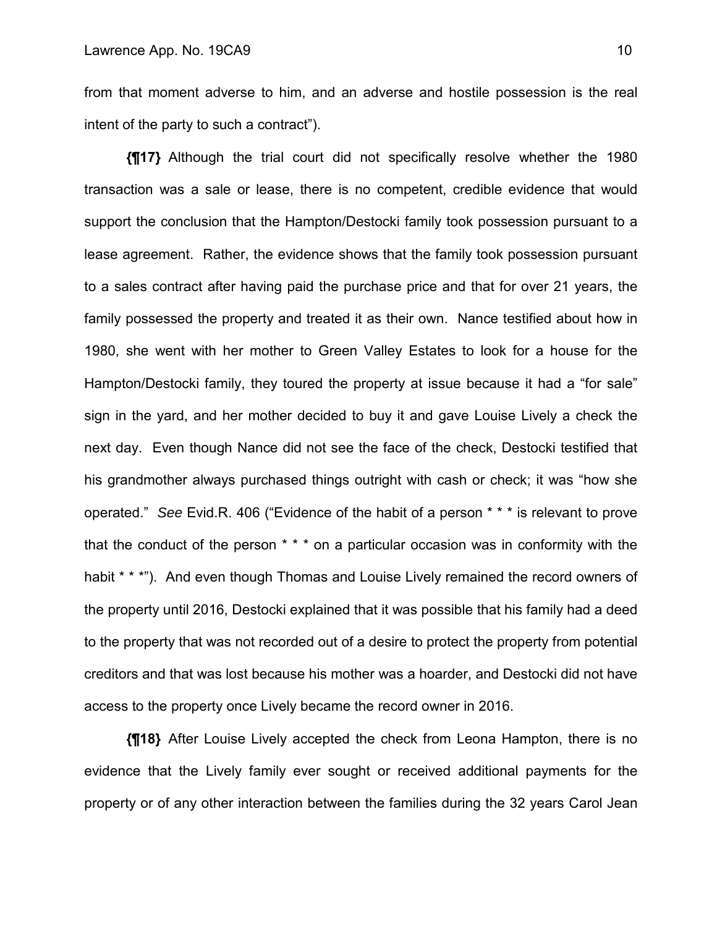from that moment adverse to him, and an adverse and hostile possession is the real intent of the party to such a contract").

**{¶17}** Although the trial court did not specifically resolve whether the 1980 transaction was a sale or lease, there is no competent, credible evidence that would support the conclusion that the Hampton/Destocki family took possession pursuant to a lease agreement. Rather, the evidence shows that the family took possession pursuant to a sales contract after having paid the purchase price and that for over 21 years, the family possessed the property and treated it as their own. Nance testified about how in 1980, she went with her mother to Green Valley Estates to look for a house for the Hampton/Destocki family, they toured the property at issue because it had a "for sale" sign in the yard, and her mother decided to buy it and gave Louise Lively a check the next day. Even though Nance did not see the face of the check, Destocki testified that his grandmother always purchased things outright with cash or check; it was "how she operated." *See* Evid.R. 406 ("Evidence of the habit of a person \* \* \* is relevant to prove that the conduct of the person  $* * *$  on a particular occasion was in conformity with the habit \* \* \*"). And even though Thomas and Louise Lively remained the record owners of the property until 2016, Destocki explained that it was possible that his family had a deed to the property that was not recorded out of a desire to protect the property from potential creditors and that was lost because his mother was a hoarder, and Destocki did not have access to the property once Lively became the record owner in 2016.

**{¶18}** After Louise Lively accepted the check from Leona Hampton, there is no evidence that the Lively family ever sought or received additional payments for the property or of any other interaction between the families during the 32 years Carol Jean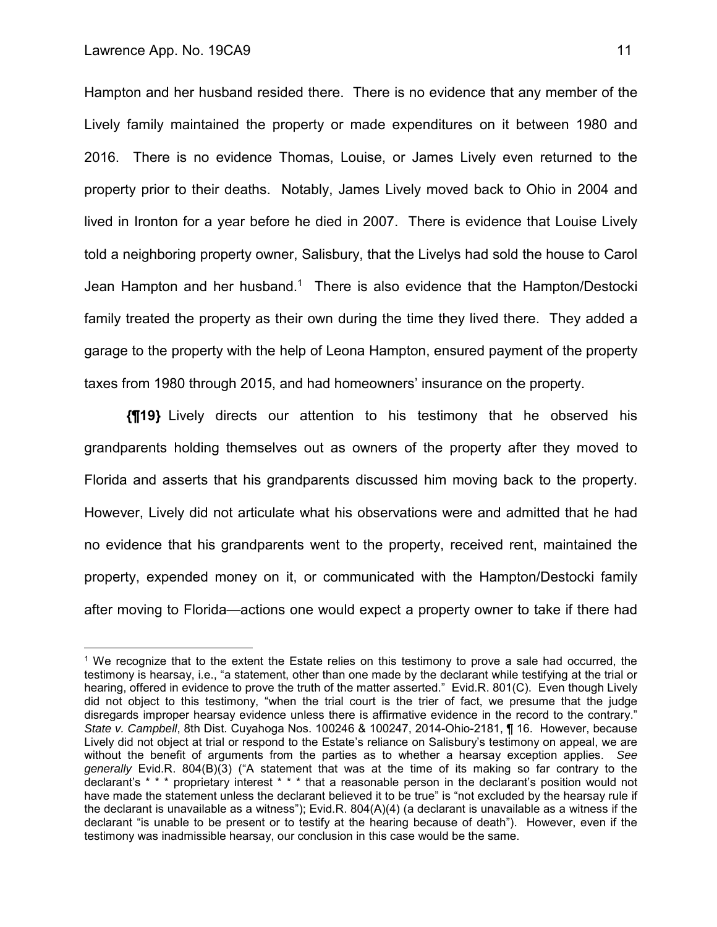1

Hampton and her husband resided there. There is no evidence that any member of the Lively family maintained the property or made expenditures on it between 1980 and 2016. There is no evidence Thomas, Louise, or James Lively even returned to the property prior to their deaths. Notably, James Lively moved back to Ohio in 2004 and lived in Ironton for a year before he died in 2007. There is evidence that Louise Lively told a neighboring property owner, Salisbury, that the Livelys had sold the house to Carol Jean Hampton and her husband.<sup>1</sup> There is also evidence that the Hampton/Destocki family treated the property as their own during the time they lived there. They added a garage to the property with the help of Leona Hampton, ensured payment of the property taxes from 1980 through 2015, and had homeowners' insurance on the property.

**{¶19}** Lively directs our attention to his testimony that he observed his grandparents holding themselves out as owners of the property after they moved to Florida and asserts that his grandparents discussed him moving back to the property. However, Lively did not articulate what his observations were and admitted that he had no evidence that his grandparents went to the property, received rent, maintained the property, expended money on it, or communicated with the Hampton/Destocki family after moving to Florida—actions one would expect a property owner to take if there had

<sup>1</sup> We recognize that to the extent the Estate relies on this testimony to prove a sale had occurred, the testimony is hearsay, i.e., "a statement, other than one made by the declarant while testifying at the trial or hearing, offered in evidence to prove the truth of the matter asserted." Evid.R. 801(C). Even though Lively did not object to this testimony, "when the trial court is the trier of fact, we presume that the judge disregards improper hearsay evidence unless there is affirmative evidence in the record to the contrary." *State v. Campbell*, 8th Dist. Cuyahoga Nos. 100246 & 100247, 2014-Ohio-2181, ¶ 16. However, because Lively did not object at trial or respond to the Estate's reliance on Salisbury's testimony on appeal, we are without the benefit of arguments from the parties as to whether a hearsay exception applies. *See generally* Evid.R. 804(B)(3) ("A statement that was at the time of its making so far contrary to the declarant's \* \* \* proprietary interest \* \* \* that a reasonable person in the declarant's position would not have made the statement unless the declarant believed it to be true" is "not excluded by the hearsay rule if the declarant is unavailable as a witness"); Evid.R. 804(A)(4) (a declarant is unavailable as a witness if the declarant "is unable to be present or to testify at the hearing because of death"). However, even if the testimony was inadmissible hearsay, our conclusion in this case would be the same.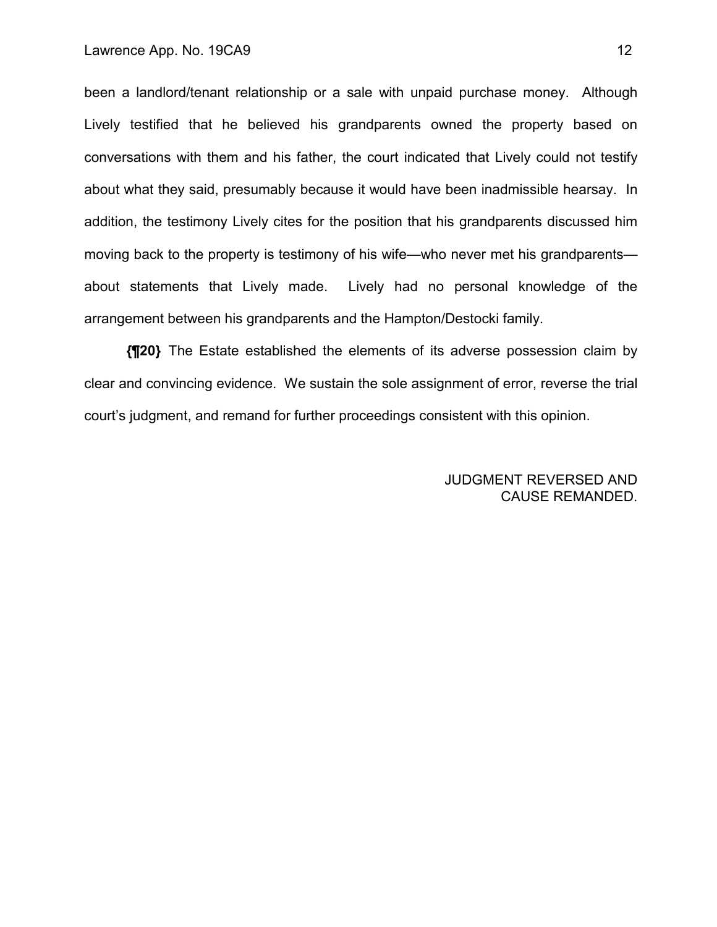been a landlord/tenant relationship or a sale with unpaid purchase money. Although Lively testified that he believed his grandparents owned the property based on conversations with them and his father, the court indicated that Lively could not testify about what they said, presumably because it would have been inadmissible hearsay. In addition, the testimony Lively cites for the position that his grandparents discussed him moving back to the property is testimony of his wife—who never met his grandparents about statements that Lively made. Lively had no personal knowledge of the arrangement between his grandparents and the Hampton/Destocki family.

**{¶20}** The Estate established the elements of its adverse possession claim by clear and convincing evidence. We sustain the sole assignment of error, reverse the trial court's judgment, and remand for further proceedings consistent with this opinion.

> JUDGMENT REVERSED AND CAUSE REMANDED.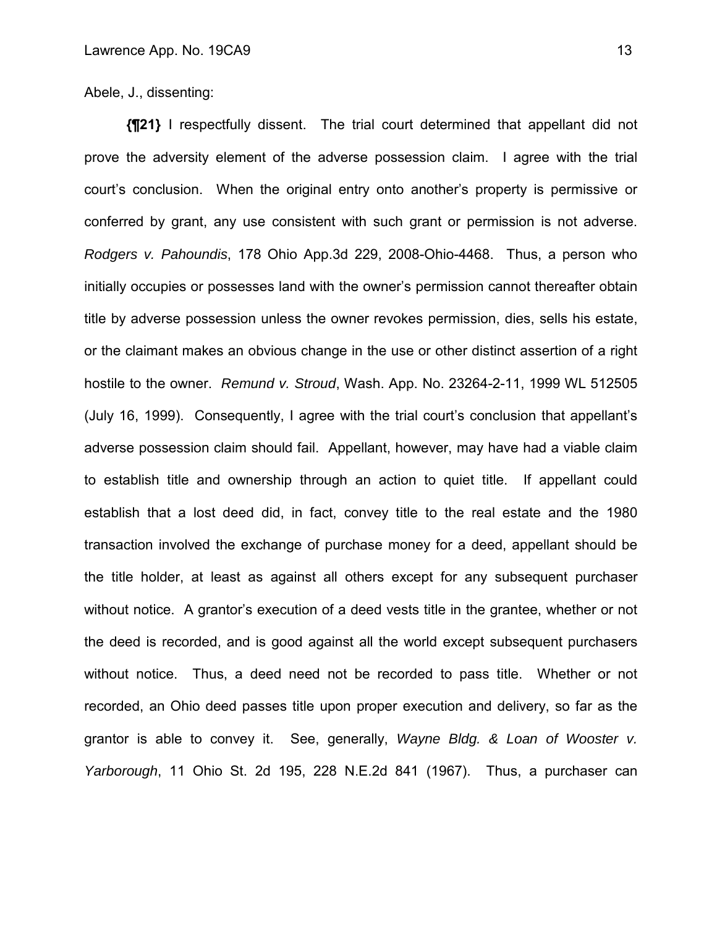Abele, J., dissenting:

**{¶21}** I respectfully dissent. The trial court determined that appellant did not prove the adversity element of the adverse possession claim. I agree with the trial court's conclusion. When the original entry onto another's property is permissive or conferred by grant, any use consistent with such grant or permission is not adverse. *Rodgers v. Pahoundis*, 178 Ohio App.3d 229, 2008-Ohio-4468. Thus, a person who initially occupies or possesses land with the owner's permission cannot thereafter obtain title by adverse possession unless the owner revokes permission, dies, sells his estate, or the claimant makes an obvious change in the use or other distinct assertion of a right hostile to the owner. *Remund v. Stroud*, Wash. App. No. 23264-2-11, 1999 WL 512505 (July 16, 1999). Consequently, I agree with the trial court's conclusion that appellant's adverse possession claim should fail. Appellant, however, may have had a viable claim to establish title and ownership through an action to quiet title. If appellant could establish that a lost deed did, in fact, convey title to the real estate and the 1980 transaction involved the exchange of purchase money for a deed, appellant should be the title holder, at least as against all others except for any subsequent purchaser without notice. A grantor's execution of a deed vests title in the grantee, whether or not the deed is recorded, and is good against all the world except subsequent purchasers without notice. Thus, a deed need not be recorded to pass title. Whether or not recorded, an Ohio deed passes title upon proper execution and delivery, so far as the grantor is able to convey it. See, generally, *Wayne Bldg. & Loan of Wooster v. Yarborough*, 11 Ohio St. 2d 195, 228 N.E.2d 841 (1967). Thus, a purchaser can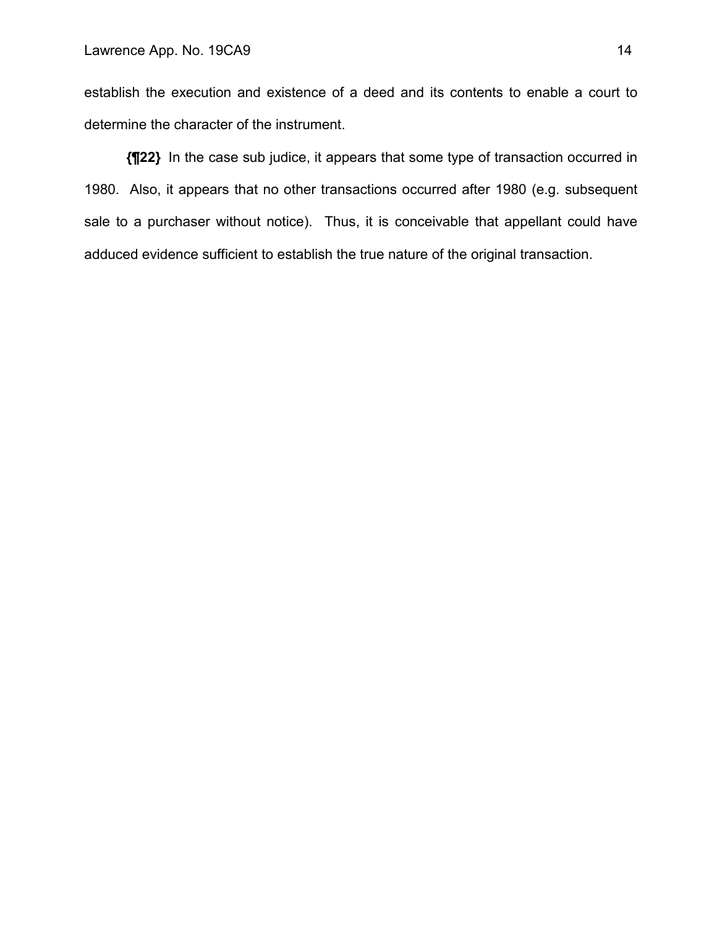establish the execution and existence of a deed and its contents to enable a court to determine the character of the instrument.

**{¶22}** In the case sub judice, it appears that some type of transaction occurred in 1980. Also, it appears that no other transactions occurred after 1980 (e.g. subsequent sale to a purchaser without notice). Thus, it is conceivable that appellant could have adduced evidence sufficient to establish the true nature of the original transaction.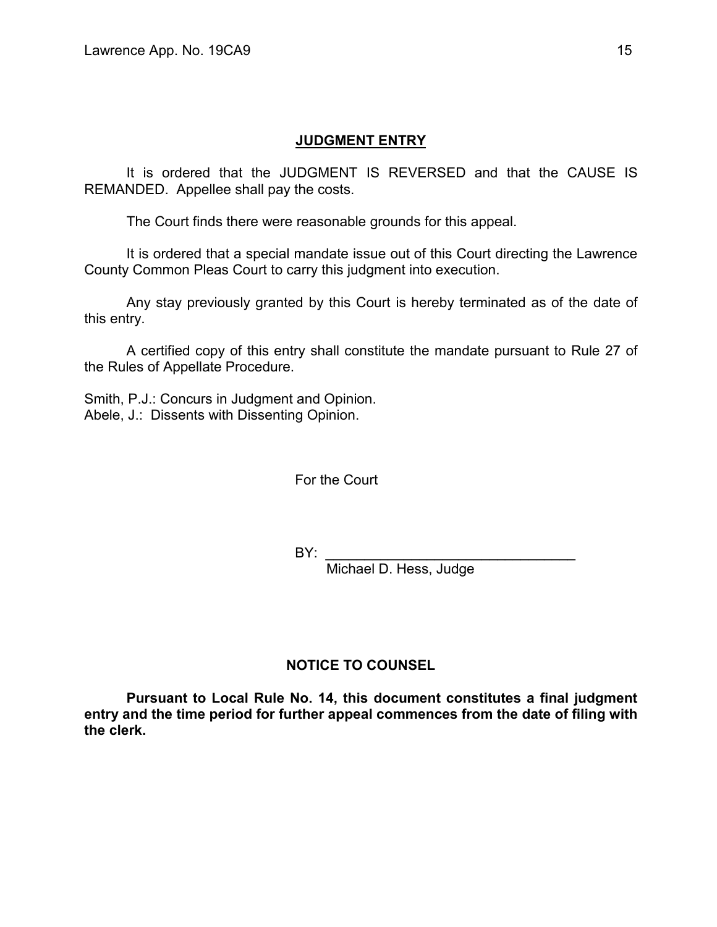# **JUDGMENT ENTRY**

It is ordered that the JUDGMENT IS REVERSED and that the CAUSE IS REMANDED. Appellee shall pay the costs.

The Court finds there were reasonable grounds for this appeal.

 It is ordered that a special mandate issue out of this Court directing the Lawrence County Common Pleas Court to carry this judgment into execution.

 Any stay previously granted by this Court is hereby terminated as of the date of this entry.

 A certified copy of this entry shall constitute the mandate pursuant to Rule 27 of the Rules of Appellate Procedure.

Smith, P.J.: Concurs in Judgment and Opinion. Abele, J.: Dissents with Dissenting Opinion.

For the Court

BY: \_\_\_\_\_\_\_\_\_\_\_\_\_\_\_\_\_\_\_\_\_\_\_\_\_\_\_\_\_\_\_\_

Michael D. Hess, Judge

# **NOTICE TO COUNSEL**

 **Pursuant to Local Rule No. 14, this document constitutes a final judgment entry and the time period for further appeal commences from the date of filing with the clerk.**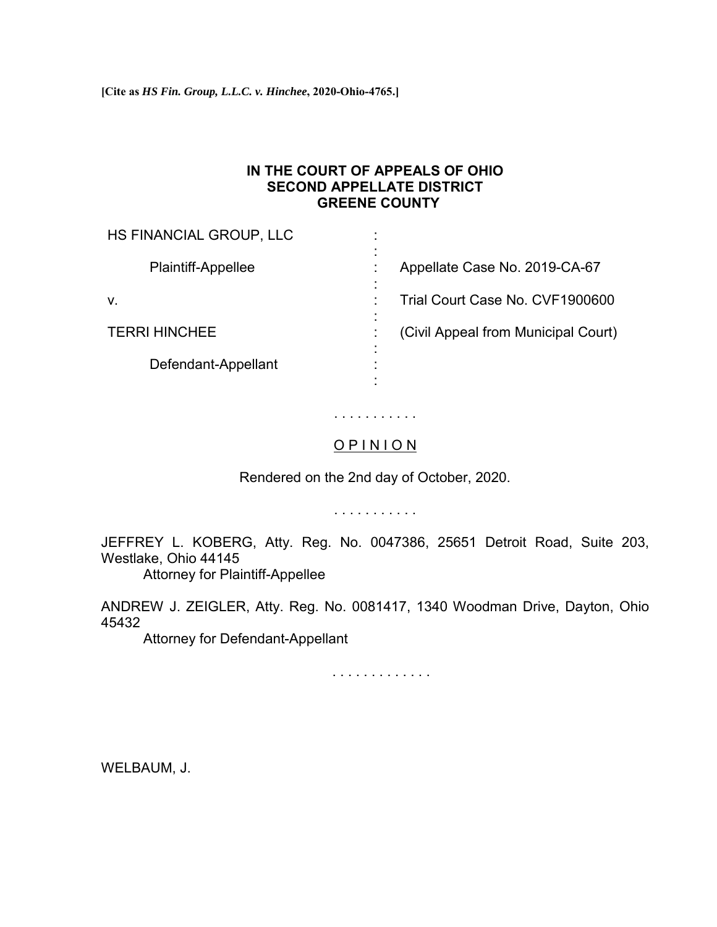# **IN THE COURT OF APPEALS OF OHIO SECOND APPELLATE DISTRICT GREENE COUNTY**

| HS FINANCIAL GROUP, LLC                     |                                     |
|---------------------------------------------|-------------------------------------|
| $\blacksquare$<br><b>Plaintiff-Appellee</b> | Appellate Case No. 2019-CA-67       |
| ٠<br>V.                                     | Trial Court Case No. CVF1900600     |
| <b>TERRI HINCHEE</b>                        | (Civil Appeal from Municipal Court) |
| $\blacksquare$<br>Defendant-Appellant       |                                     |

# . . . . . . . . . . . O P I N I O N

Rendered on the 2nd day of October, 2020.

. . . . . . . . . . .

JEFFREY L. KOBERG, Atty. Reg. No. 0047386, 25651 Detroit Road, Suite 203, Westlake, Ohio 44145

Attorney for Plaintiff-Appellee

ANDREW J. ZEIGLER, Atty. Reg. No. 0081417, 1340 Woodman Drive, Dayton, Ohio 45432

Attorney for Defendant-Appellant

. . . . . . . . . . . . .

WELBAUM, J.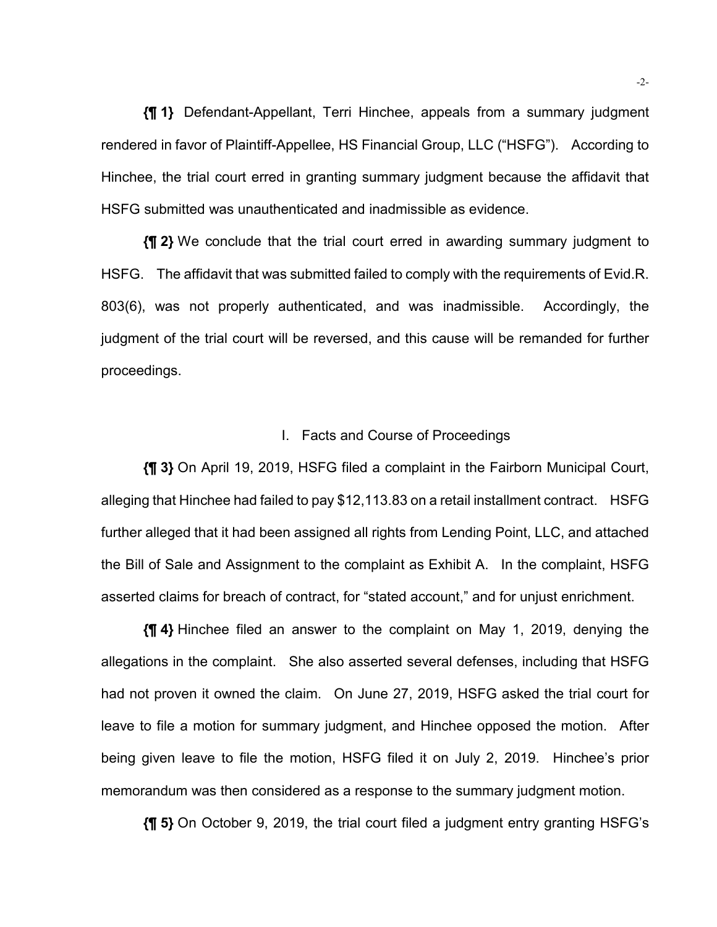**{¶ 1}** Defendant-Appellant, Terri Hinchee, appeals from a summary judgment rendered in favor of Plaintiff-Appellee, HS Financial Group, LLC ("HSFG"). According to Hinchee, the trial court erred in granting summary judgment because the affidavit that HSFG submitted was unauthenticated and inadmissible as evidence.

**{¶ 2}** We conclude that the trial court erred in awarding summary judgment to HSFG. The affidavit that was submitted failed to comply with the requirements of Evid.R. 803(6), was not properly authenticated, and was inadmissible. Accordingly, the judgment of the trial court will be reversed, and this cause will be remanded for further proceedings.

#### I. Facts and Course of Proceedings

**{¶ 3}** On April 19, 2019, HSFG filed a complaint in the Fairborn Municipal Court, alleging that Hinchee had failed to pay \$12,113.83 on a retail installment contract. HSFG further alleged that it had been assigned all rights from Lending Point, LLC, and attached the Bill of Sale and Assignment to the complaint as Exhibit A. In the complaint, HSFG asserted claims for breach of contract, for "stated account," and for unjust enrichment.

**{¶ 4}** Hinchee filed an answer to the complaint on May 1, 2019, denying the allegations in the complaint. She also asserted several defenses, including that HSFG had not proven it owned the claim. On June 27, 2019, HSFG asked the trial court for leave to file a motion for summary judgment, and Hinchee opposed the motion. After being given leave to file the motion, HSFG filed it on July 2, 2019. Hinchee's prior memorandum was then considered as a response to the summary judgment motion.

**{¶ 5}** On October 9, 2019, the trial court filed a judgment entry granting HSFG's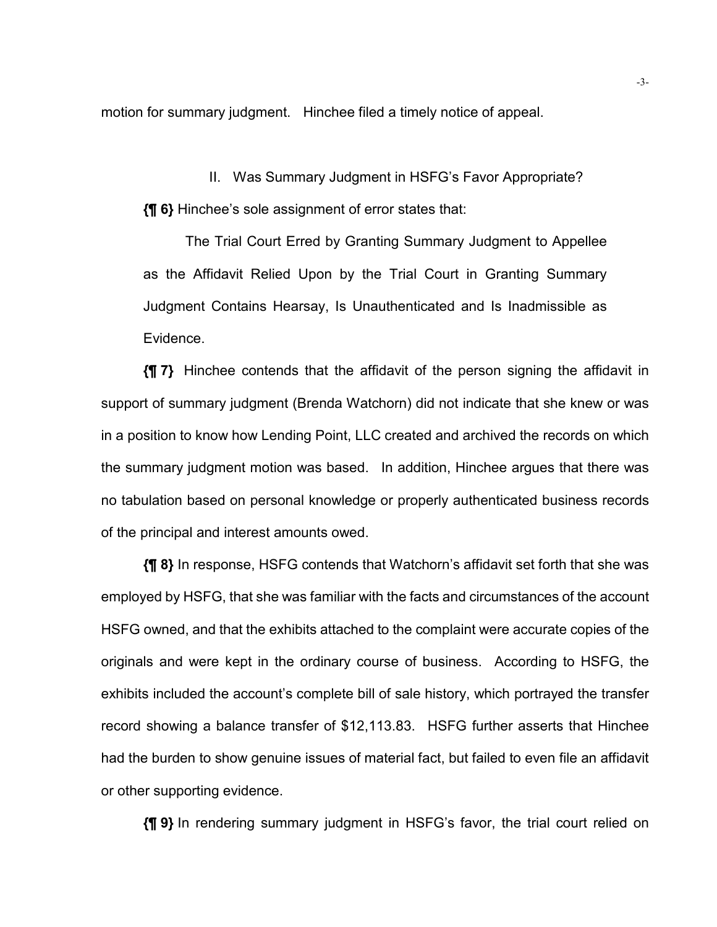motion for summary judgment. Hinchee filed a timely notice of appeal.

II. Was Summary Judgment in HSFG's Favor Appropriate?

**{¶ 6}** Hinchee's sole assignment of error states that:

The Trial Court Erred by Granting Summary Judgment to Appellee as the Affidavit Relied Upon by the Trial Court in Granting Summary Judgment Contains Hearsay, Is Unauthenticated and Is Inadmissible as Evidence.

**{¶ 7}** Hinchee contends that the affidavit of the person signing the affidavit in support of summary judgment (Brenda Watchorn) did not indicate that she knew or was in a position to know how Lending Point, LLC created and archived the records on which the summary judgment motion was based. In addition, Hinchee argues that there was no tabulation based on personal knowledge or properly authenticated business records of the principal and interest amounts owed.

**{¶ 8}** In response, HSFG contends that Watchorn's affidavit set forth that she was employed by HSFG, that she was familiar with the facts and circumstances of the account HSFG owned, and that the exhibits attached to the complaint were accurate copies of the originals and were kept in the ordinary course of business. According to HSFG, the exhibits included the account's complete bill of sale history, which portrayed the transfer record showing a balance transfer of \$12,113.83. HSFG further asserts that Hinchee had the burden to show genuine issues of material fact, but failed to even file an affidavit or other supporting evidence.

**{¶ 9}** In rendering summary judgment in HSFG's favor, the trial court relied on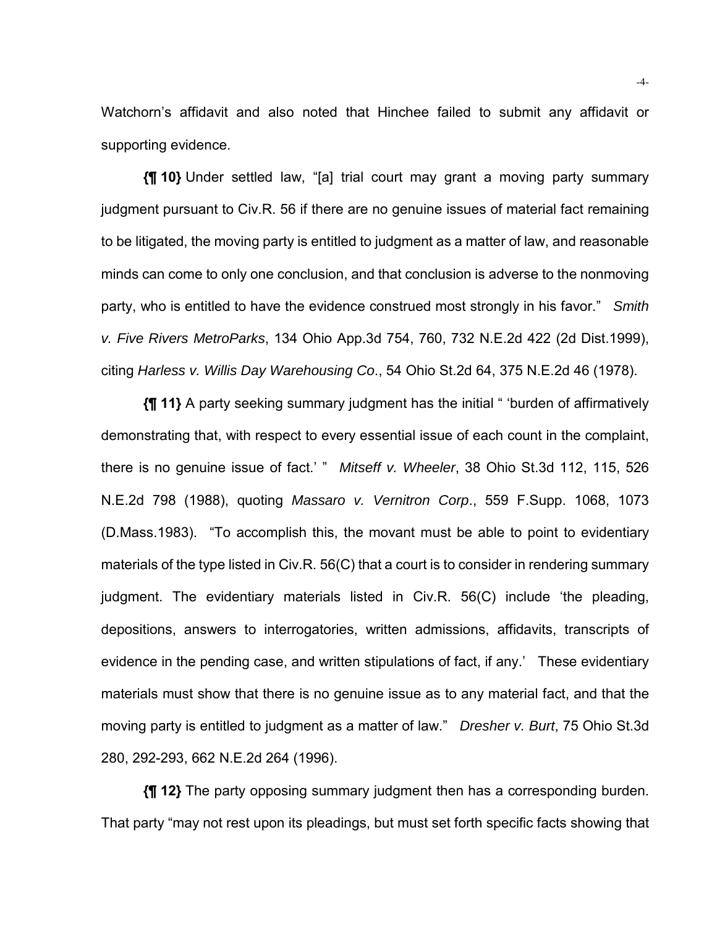Watchorn's affidavit and also noted that Hinchee failed to submit any affidavit or supporting evidence.

**{¶ 10}** Under settled law, "[a] trial court may grant a moving party summary judgment pursuant to Civ.R. 56 if there are no genuine issues of material fact remaining to be litigated, the moving party is entitled to judgment as a matter of law, and reasonable minds can come to only one conclusion, and that conclusion is adverse to the nonmoving party, who is entitled to have the evidence construed most strongly in his favor." *Smith v. Five Rivers MetroParks*, 134 Ohio App.3d 754, 760, 732 N.E.2d 422 (2d Dist.1999), citing *Harless v. Willis Day Warehousing Co*., 54 Ohio St.2d 64, 375 N.E.2d 46 (1978).

**{¶ 11}** A party seeking summary judgment has the initial " 'burden of affirmatively demonstrating that, with respect to every essential issue of each count in the complaint, there is no genuine issue of fact.' " *Mitseff v. Wheeler*, 38 Ohio St.3d 112, 115, 526 N.E.2d 798 (1988), quoting *Massaro v. Vernitron Corp*., 559 F.Supp. 1068, 1073 (D.Mass.1983). "To accomplish this, the movant must be able to point to evidentiary materials of the type listed in Civ.R. 56(C) that a court is to consider in rendering summary judgment. The evidentiary materials listed in Civ.R. 56(C) include 'the pleading, depositions, answers to interrogatories, written admissions, affidavits, transcripts of evidence in the pending case, and written stipulations of fact, if any.' These evidentiary materials must show that there is no genuine issue as to any material fact, and that the moving party is entitled to judgment as a matter of law." *Dresher v. Burt*, 75 Ohio St.3d 280, 292-293, 662 N.E.2d 264 (1996).

**{¶ 12}** The party opposing summary judgment then has a corresponding burden. That party "may not rest upon its pleadings, but must set forth specific facts showing that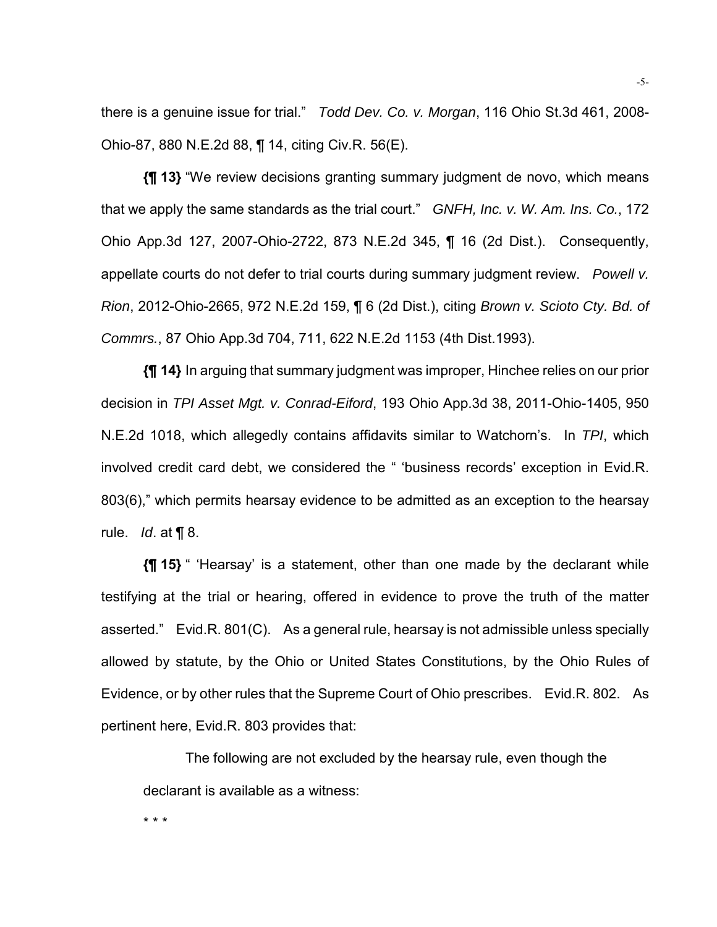there is a genuine issue for trial." *Todd Dev. Co. v. Morgan*, 116 Ohio St.3d 461, 2008- Ohio-87, 880 N.E.2d 88, ¶ 14, citing Civ.R. 56(E).

**{¶ 13}** "We review decisions granting summary judgment de novo, which means that we apply the same standards as the trial court." *GNFH, Inc. v. W. Am. Ins. Co.*, 172 Ohio App.3d 127, 2007-Ohio-2722, 873 N.E.2d 345, ¶ 16 (2d Dist.). Consequently, appellate courts do not defer to trial courts during summary judgment review. *Powell v. Rion*, 2012-Ohio-2665, 972 N.E.2d 159, ¶ 6 (2d Dist.), citing *Brown v. Scioto Cty. Bd. of Commrs.*, 87 Ohio App.3d 704, 711, 622 N.E.2d 1153 (4th Dist.1993).

**{¶ 14}** In arguing that summary judgment was improper, Hinchee relies on our prior decision in *TPI Asset Mgt. v. Conrad-Eiford*, 193 Ohio App.3d 38, 2011-Ohio-1405, 950 N.E.2d 1018, which allegedly contains affidavits similar to Watchorn's. In *TPI*, which involved credit card debt, we considered the " 'business records' exception in Evid.R. 803(6)," which permits hearsay evidence to be admitted as an exception to the hearsay rule. *Id*. at ¶ 8.

**{¶ 15}** " 'Hearsay' is a statement, other than one made by the declarant while testifying at the trial or hearing, offered in evidence to prove the truth of the matter asserted." Evid.R. 801(C). As a general rule, hearsay is not admissible unless specially allowed by statute, by the Ohio or United States Constitutions, by the Ohio Rules of Evidence, or by other rules that the Supreme Court of Ohio prescribes. Evid.R. 802. As pertinent here, Evid.R. 803 provides that:

The following are not excluded by the hearsay rule, even though the declarant is available as a witness:

\* \* \*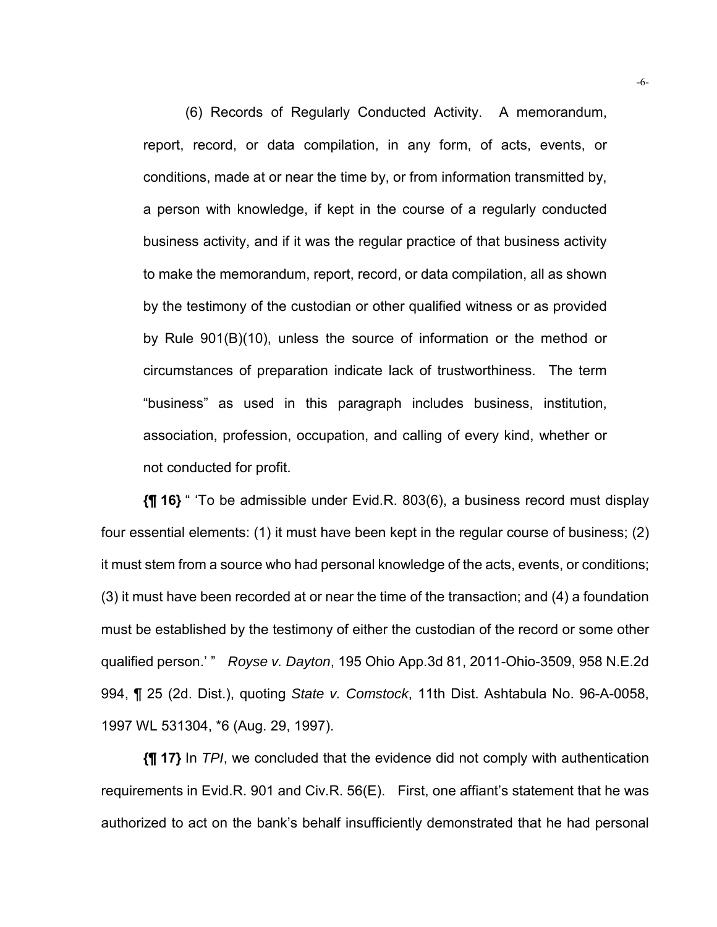(6) Records of Regularly Conducted Activity. A memorandum, report, record, or data compilation, in any form, of acts, events, or conditions, made at or near the time by, or from information transmitted by, a person with knowledge, if kept in the course of a regularly conducted business activity, and if it was the regular practice of that business activity to make the memorandum, report, record, or data compilation, all as shown by the testimony of the custodian or other qualified witness or as provided by Rule 901(B)(10), unless the source of information or the method or circumstances of preparation indicate lack of trustworthiness. The term "business" as used in this paragraph includes business, institution, association, profession, occupation, and calling of every kind, whether or not conducted for profit.

**{¶ 16}** " 'To be admissible under Evid.R. 803(6), a business record must display four essential elements: (1) it must have been kept in the regular course of business; (2) it must stem from a source who had personal knowledge of the acts, events, or conditions; (3) it must have been recorded at or near the time of the transaction; and (4) a foundation must be established by the testimony of either the custodian of the record or some other qualified person.' " *Royse v. Dayton*, 195 Ohio App.3d 81, 2011-Ohio-3509, 958 N.E.2d 994, ¶ 25 (2d. Dist.), quoting *State v. Comstock*, 11th Dist. Ashtabula No. 96-A-0058, 1997 WL 531304, \*6 (Aug. 29, 1997).

**{¶ 17}** In *TPI*, we concluded that the evidence did not comply with authentication requirements in Evid.R. 901 and Civ.R. 56(E). First, one affiant's statement that he was authorized to act on the bank's behalf insufficiently demonstrated that he had personal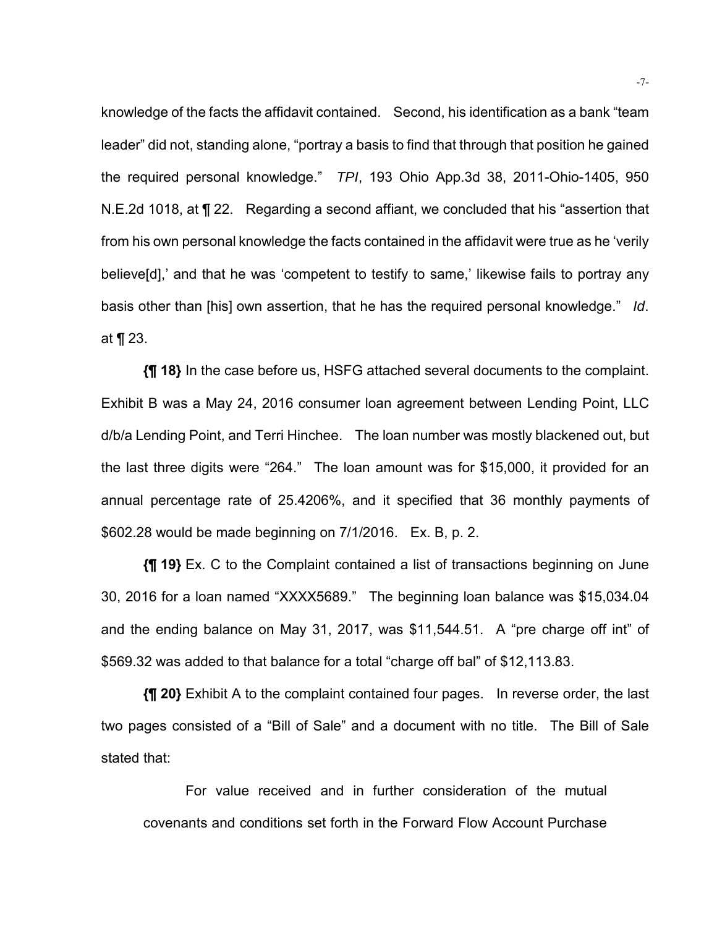knowledge of the facts the affidavit contained. Second, his identification as a bank "team leader" did not, standing alone, "portray a basis to find that through that position he gained the required personal knowledge." *TPI*, 193 Ohio App.3d 38, 2011-Ohio-1405, 950 N.E.2d 1018, at ¶ 22. Regarding a second affiant, we concluded that his "assertion that from his own personal knowledge the facts contained in the affidavit were true as he 'verily believe[d],' and that he was 'competent to testify to same,' likewise fails to portray any basis other than [his] own assertion, that he has the required personal knowledge." *Id*. at ¶ 23.

**{¶ 18}** In the case before us, HSFG attached several documents to the complaint. Exhibit B was a May 24, 2016 consumer loan agreement between Lending Point, LLC d/b/a Lending Point, and Terri Hinchee. The loan number was mostly blackened out, but the last three digits were "264." The loan amount was for \$15,000, it provided for an annual percentage rate of 25.4206%, and it specified that 36 monthly payments of \$602.28 would be made beginning on 7/1/2016. Ex. B, p. 2.

**{¶ 19}** Ex. C to the Complaint contained a list of transactions beginning on June 30, 2016 for a loan named "XXXX5689." The beginning loan balance was \$15,034.04 and the ending balance on May 31, 2017, was \$11,544.51. A "pre charge off int" of \$569.32 was added to that balance for a total "charge off bal" of \$12,113.83.

**{¶ 20}** Exhibit A to the complaint contained four pages. In reverse order, the last two pages consisted of a "Bill of Sale" and a document with no title. The Bill of Sale stated that:

For value received and in further consideration of the mutual covenants and conditions set forth in the Forward Flow Account Purchase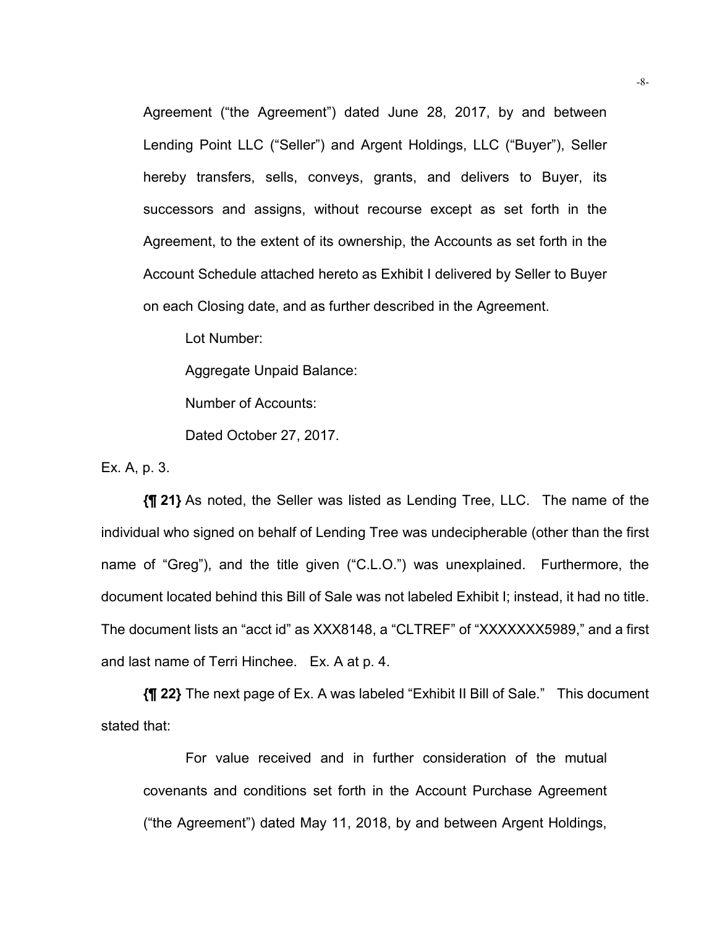Agreement ("the Agreement") dated June 28, 2017, by and between Lending Point LLC ("Seller") and Argent Holdings, LLC ("Buyer"), Seller hereby transfers, sells, conveys, grants, and delivers to Buyer, its successors and assigns, without recourse except as set forth in the Agreement, to the extent of its ownership, the Accounts as set forth in the Account Schedule attached hereto as Exhibit I delivered by Seller to Buyer on each Closing date, and as further described in the Agreement.

Lot Number:

Aggregate Unpaid Balance:

Number of Accounts:

Dated October 27, 2017.

Ex. A, p. 3.

**{¶ 21}** As noted, the Seller was listed as Lending Tree, LLC. The name of the individual who signed on behalf of Lending Tree was undecipherable (other than the first name of "Greg"), and the title given ("C.L.O.") was unexplained. Furthermore, the document located behind this Bill of Sale was not labeled Exhibit I; instead, it had no title. The document lists an "acct id" as XXX8148, a "CLTREF" of "XXXXXXX5989," and a first and last name of Terri Hinchee. Ex. A at p. 4.

**{¶ 22}** The next page of Ex. A was labeled "Exhibit II Bill of Sale." This document stated that:

For value received and in further consideration of the mutual covenants and conditions set forth in the Account Purchase Agreement ("the Agreement") dated May 11, 2018, by and between Argent Holdings,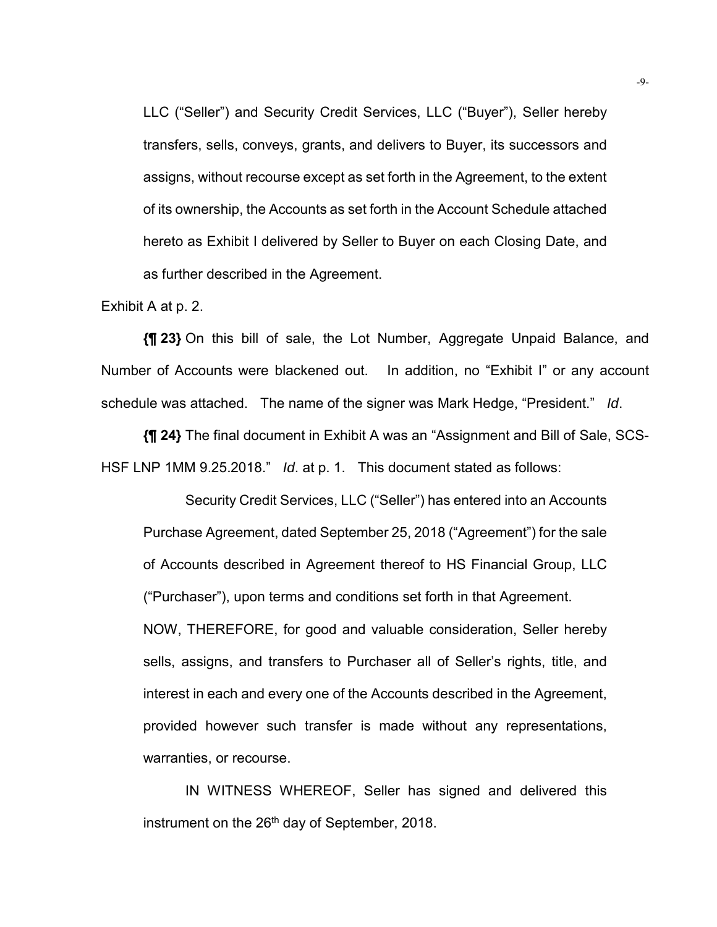LLC ("Seller") and Security Credit Services, LLC ("Buyer"), Seller hereby transfers, sells, conveys, grants, and delivers to Buyer, its successors and assigns, without recourse except as set forth in the Agreement, to the extent of its ownership, the Accounts as set forth in the Account Schedule attached hereto as Exhibit I delivered by Seller to Buyer on each Closing Date, and as further described in the Agreement.

Exhibit A at p. 2.

**{¶ 23}** On this bill of sale, the Lot Number, Aggregate Unpaid Balance, and Number of Accounts were blackened out. In addition, no "Exhibit I" or any account schedule was attached. The name of the signer was Mark Hedge, "President." *Id*.

**{¶ 24}** The final document in Exhibit A was an "Assignment and Bill of Sale, SCS-HSF LNP 1MM 9.25.2018." *Id*. at p. 1. This document stated as follows:

Security Credit Services, LLC ("Seller") has entered into an Accounts Purchase Agreement, dated September 25, 2018 ("Agreement") for the sale of Accounts described in Agreement thereof to HS Financial Group, LLC ("Purchaser"), upon terms and conditions set forth in that Agreement. NOW, THEREFORE, for good and valuable consideration, Seller hereby sells, assigns, and transfers to Purchaser all of Seller's rights, title, and interest in each and every one of the Accounts described in the Agreement, provided however such transfer is made without any representations, warranties, or recourse.

IN WITNESS WHEREOF, Seller has signed and delivered this instrument on the 26<sup>th</sup> day of September, 2018.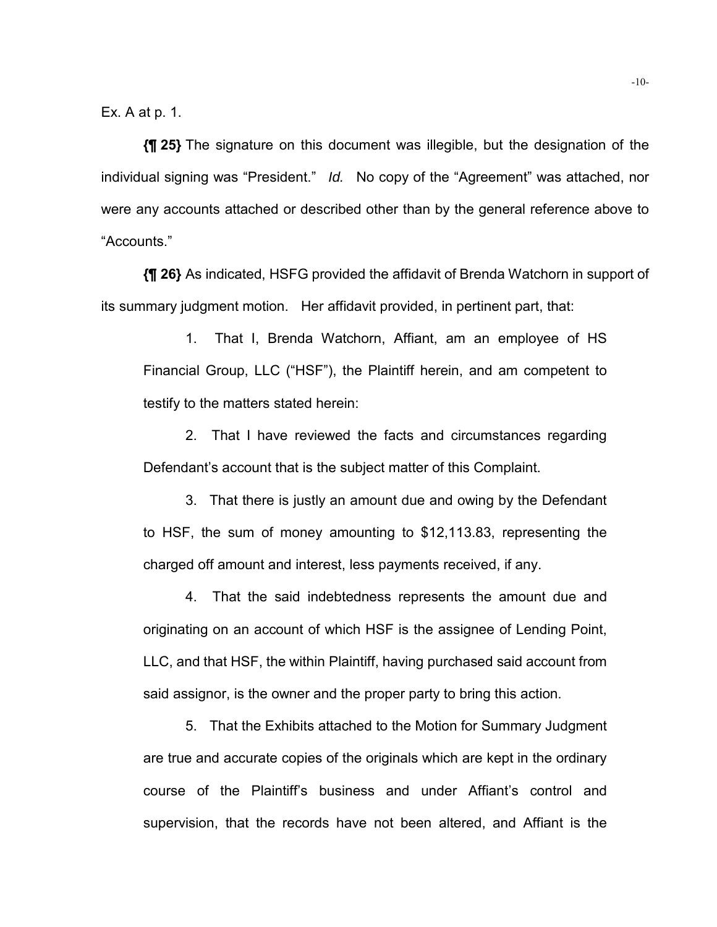Ex. A at p. 1.

**{¶ 25}** The signature on this document was illegible, but the designation of the individual signing was "President." *Id.* No copy of the "Agreement" was attached, nor were any accounts attached or described other than by the general reference above to "Accounts."

**{¶ 26}** As indicated, HSFG provided the affidavit of Brenda Watchorn in support of its summary judgment motion. Her affidavit provided, in pertinent part, that:

1. That I, Brenda Watchorn, Affiant, am an employee of HS Financial Group, LLC ("HSF"), the Plaintiff herein, and am competent to testify to the matters stated herein:

2. That I have reviewed the facts and circumstances regarding Defendant's account that is the subject matter of this Complaint.

3. That there is justly an amount due and owing by the Defendant to HSF, the sum of money amounting to \$12,113.83, representing the charged off amount and interest, less payments received, if any.

4. That the said indebtedness represents the amount due and originating on an account of which HSF is the assignee of Lending Point, LLC, and that HSF, the within Plaintiff, having purchased said account from said assignor, is the owner and the proper party to bring this action.

5. That the Exhibits attached to the Motion for Summary Judgment are true and accurate copies of the originals which are kept in the ordinary course of the Plaintiff's business and under Affiant's control and supervision, that the records have not been altered, and Affiant is the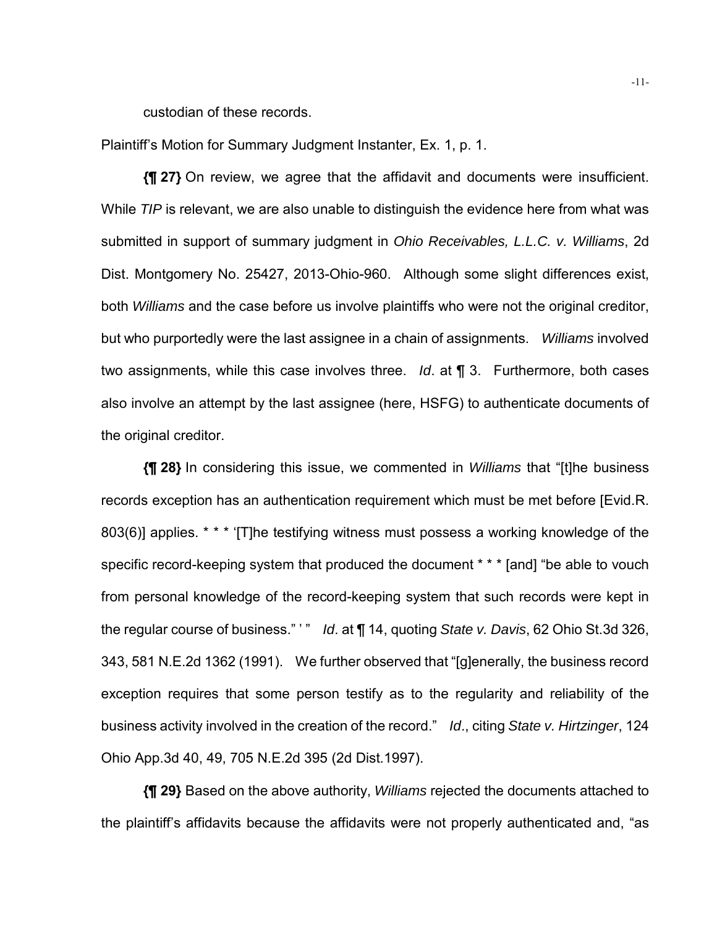custodian of these records.

Plaintiff's Motion for Summary Judgment Instanter, Ex. 1, p. 1.

**{¶ 27}** On review, we agree that the affidavit and documents were insufficient. While *TIP* is relevant, we are also unable to distinguish the evidence here from what was submitted in support of summary judgment in *Ohio Receivables, L.L.C. v. Williams*, 2d Dist. Montgomery No. 25427, 2013-Ohio-960. Although some slight differences exist, both *Williams* and the case before us involve plaintiffs who were not the original creditor, but who purportedly were the last assignee in a chain of assignments. *Williams* involved two assignments, while this case involves three. *Id*. at ¶ 3. Furthermore, both cases also involve an attempt by the last assignee (here, HSFG) to authenticate documents of the original creditor.

**{¶ 28}** In considering this issue, we commented in *Williams* that "[t]he business records exception has an authentication requirement which must be met before [Evid.R. 803(6)] applies. \* \* \* '[T]he testifying witness must possess a working knowledge of the specific record-keeping system that produced the document \* \* \* [and] "be able to vouch from personal knowledge of the record-keeping system that such records were kept in the regular course of business." ' " *Id*. at ¶ 14, quoting *State v. Davis*, 62 Ohio St.3d 326, 343, 581 N.E.2d 1362 (1991). We further observed that "[g]enerally, the business record exception requires that some person testify as to the regularity and reliability of the business activity involved in the creation of the record." *Id*., citing *State v. Hirtzinger*, 124 Ohio App.3d 40, 49, 705 N.E.2d 395 (2d Dist.1997).

**{¶ 29}** Based on the above authority, *Williams* rejected the documents attached to the plaintiff's affidavits because the affidavits were not properly authenticated and, "as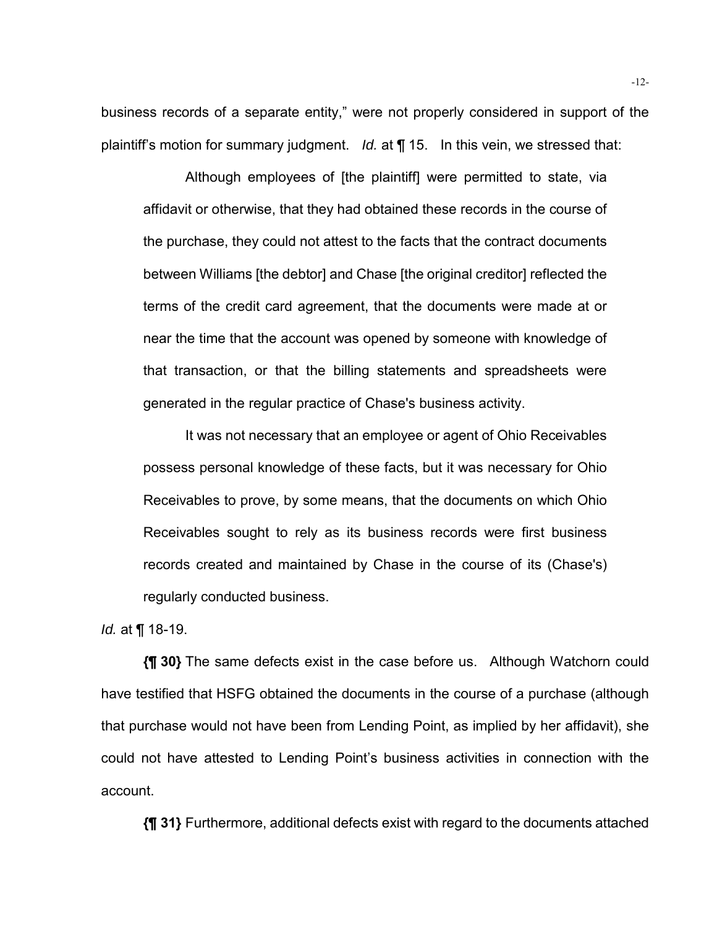business records of a separate entity," were not properly considered in support of the plaintiff's motion for summary judgment. *Id.* at ¶ 15. In this vein, we stressed that:

Although employees of [the plaintiff] were permitted to state, via affidavit or otherwise, that they had obtained these records in the course of the purchase, they could not attest to the facts that the contract documents between Williams [the debtor] and Chase [the original creditor] reflected the terms of the credit card agreement, that the documents were made at or near the time that the account was opened by someone with knowledge of that transaction, or that the billing statements and spreadsheets were generated in the regular practice of Chase's business activity.

It was not necessary that an employee or agent of Ohio Receivables possess personal knowledge of these facts, but it was necessary for Ohio Receivables to prove, by some means, that the documents on which Ohio Receivables sought to rely as its business records were first business records created and maintained by Chase in the course of its (Chase's) regularly conducted business.

*Id.* at ¶ 18-19.

**{¶ 30}** The same defects exist in the case before us. Although Watchorn could have testified that HSFG obtained the documents in the course of a purchase (although that purchase would not have been from Lending Point, as implied by her affidavit), she could not have attested to Lending Point's business activities in connection with the account.

**{¶ 31}** Furthermore, additional defects exist with regard to the documents attached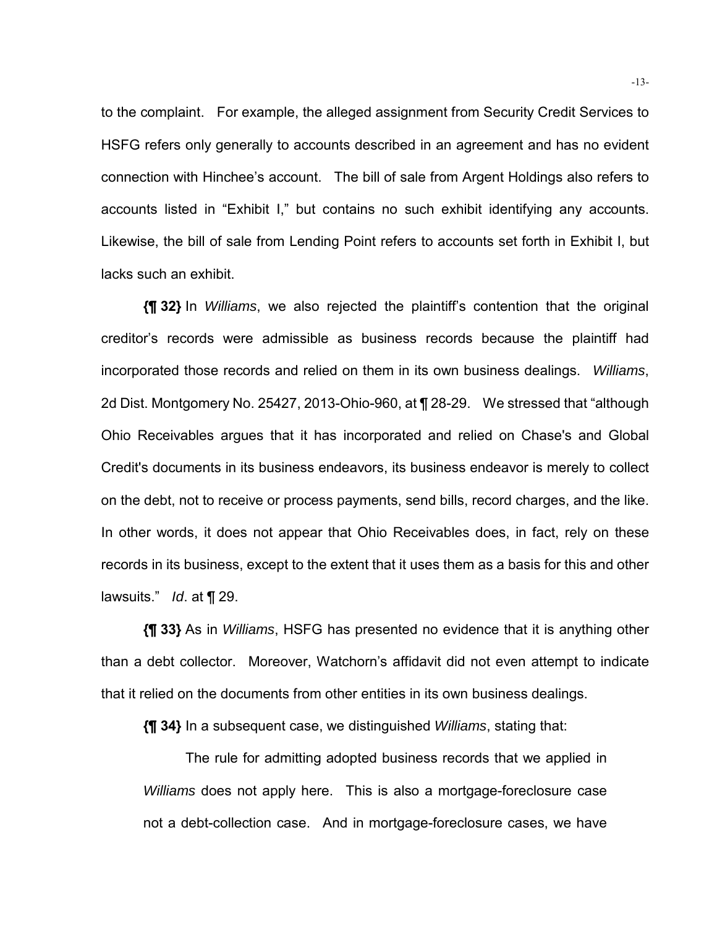to the complaint. For example, the alleged assignment from Security Credit Services to HSFG refers only generally to accounts described in an agreement and has no evident connection with Hinchee's account. The bill of sale from Argent Holdings also refers to accounts listed in "Exhibit I," but contains no such exhibit identifying any accounts. Likewise, the bill of sale from Lending Point refers to accounts set forth in Exhibit I, but lacks such an exhibit.

**{¶ 32}** In *Williams*, we also rejected the plaintiff's contention that the original creditor's records were admissible as business records because the plaintiff had incorporated those records and relied on them in its own business dealings. *Williams*, 2d Dist. Montgomery No. 25427, 2013-Ohio-960, at ¶ 28-29. We stressed that "although Ohio Receivables argues that it has incorporated and relied on Chase's and Global Credit's documents in its business endeavors, its business endeavor is merely to collect on the debt, not to receive or process payments, send bills, record charges, and the like. In other words, it does not appear that Ohio Receivables does, in fact, rely on these records in its business, except to the extent that it uses them as a basis for this and other lawsuits." *Id*. at ¶ 29.

**{¶ 33}** As in *Williams*, HSFG has presented no evidence that it is anything other than a debt collector. Moreover, Watchorn's affidavit did not even attempt to indicate that it relied on the documents from other entities in its own business dealings.

**{¶ 34}** In a subsequent case, we distinguished *Williams*, stating that:

The rule for admitting adopted business records that we applied in *Williams* does not apply here. This is also a mortgage-foreclosure case not a debt-collection case. And in mortgage-foreclosure cases, we have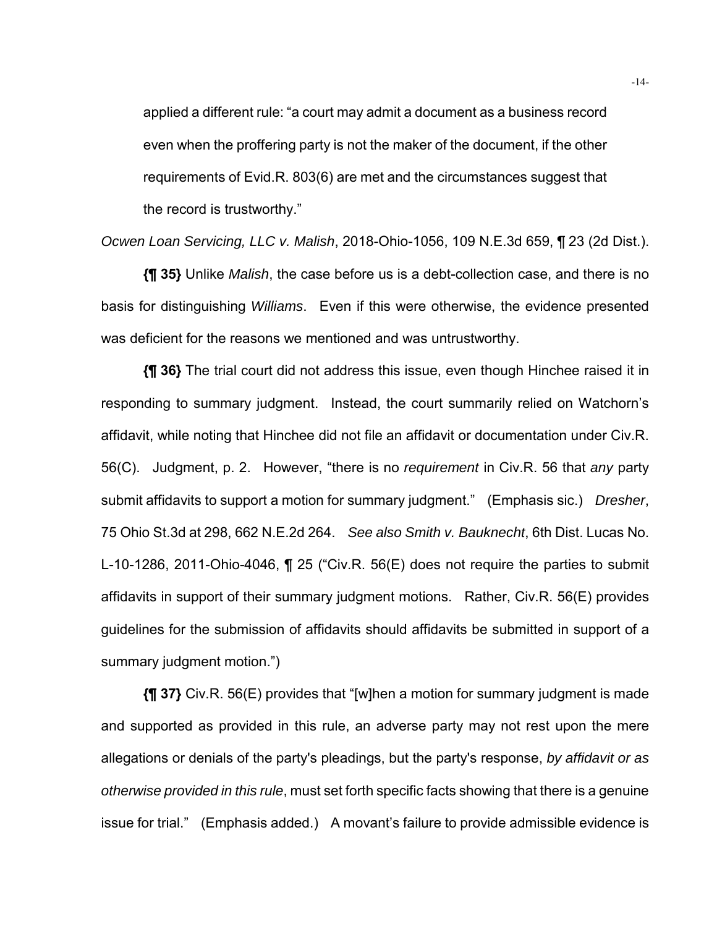applied a different rule: "a court may admit a document as a business record even when the proffering party is not the maker of the document, if the other requirements of Evid.R. 803(6) are met and the circumstances suggest that the record is trustworthy."

*Ocwen Loan Servicing, LLC v. Malish*, 2018-Ohio-1056, 109 N.E.3d 659, ¶ 23 (2d Dist.).

**{¶ 35}** Unlike *Malish*, the case before us is a debt-collection case, and there is no basis for distinguishing *Williams*. Even if this were otherwise, the evidence presented was deficient for the reasons we mentioned and was untrustworthy.

**{¶ 36}** The trial court did not address this issue, even though Hinchee raised it in responding to summary judgment. Instead, the court summarily relied on Watchorn's affidavit, while noting that Hinchee did not file an affidavit or documentation under Civ.R. 56(C). Judgment, p. 2. However, "there is no *requirement* in Civ.R. 56 that *any* party submit affidavits to support a motion for summary judgment." (Emphasis sic.) *Dresher*, 75 Ohio St.3d at 298, 662 N.E.2d 264. *See also Smith v. Bauknecht*, 6th Dist. Lucas No. L-10-1286, 2011-Ohio-4046, ¶ 25 ("Civ.R. 56(E) does not require the parties to submit affidavits in support of their summary judgment motions. Rather, Civ.R. 56(E) provides guidelines for the submission of affidavits should affidavits be submitted in support of a summary judgment motion.")

**{¶ 37}** Civ.R. 56(E) provides that "[w]hen a motion for summary judgment is made and supported as provided in this rule, an adverse party may not rest upon the mere allegations or denials of the party's pleadings, but the party's response, *by affidavit or as otherwise provided in this rule*, must set forth specific facts showing that there is a genuine issue for trial." (Emphasis added.) A movant's failure to provide admissible evidence is